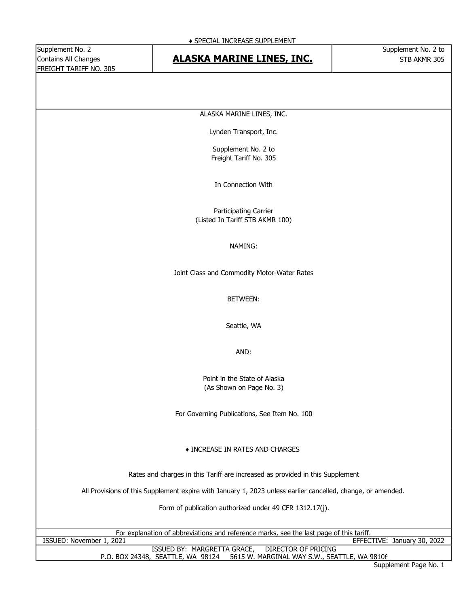## Contains All Changes **STB ALASKA MARINE LINES, INC.** The STB AKMR 305

ALASKA MARINE LINES, INC.

Lynden Transport, Inc.

Supplement No. 2 to Freight Tariff No. 305

In Connection With

Participating Carrier (Listed In Tariff STB AKMR 100)

#### NAMING:

Joint Class and Commodity Motor-Water Rates

#### BETWEEN:

Seattle, WA

AND:

Point in the State of Alaska (As Shown on Page No. 3)

For Governing Publications, See Item No. 100

#### ♦ INCREASE IN RATES AND CHARGES

Rates and charges in this Tariff are increased as provided in this Supplement

All Provisions of this Supplement expire with January 1, 2023 unless earlier cancelled, change, or amended.

Form of publication authorized under 49 CFR 1312.17(j).

|                                   | For explanation of abbreviations and reference marks, see the last page of this tariff. |
|-----------------------------------|-----------------------------------------------------------------------------------------|
| ISSUED: November 1, 2021          | EFFECTIVE: January 30, 2022                                                             |
|                                   | ISSUED BY: MARGRETTA GRACE, DIRECTOR OF PRICING                                         |
| P.O. BOX 24348, SEATTLE, WA 98124 | 5615 W. MARGINAL WAY S.W., SEATTLE, WA 98106                                            |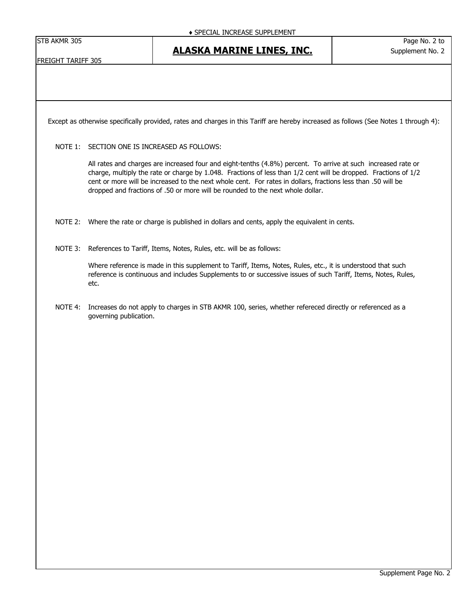|  | STB AKMR 305 |  |
|--|--------------|--|
|--|--------------|--|

#### FREIGHT TARIFF 305

Except as otherwise specifically provided, rates and charges in this Tariff are hereby increased as follows (See Notes 1 through 4):

NOTE 1: SECTION ONE IS INCREASED AS FOLLOWS:

All rates and charges are increased four and eight-tenths (4.8%) percent. To arrive at such increased rate or charge, multiply the rate or charge by 1.048. Fractions of less than 1/2 cent will be dropped. Fractions of 1/2 cent or more will be increased to the next whole cent. For rates in dollars, fractions less than .50 will be dropped and fractions of .50 or more will be rounded to the next whole dollar.

- NOTE 2: Where the rate or charge is published in dollars and cents, apply the equivalent in cents.
- NOTE 3: References to Tariff, Items, Notes, Rules, etc. will be as follows:

Where reference is made in this supplement to Tariff, Items, Notes, Rules, etc., it is understood that such reference is continuous and includes Supplements to or successive issues of such Tariff, Items, Notes, Rules, etc.

NOTE 4: Increases do not apply to charges in STB AKMR 100, series, whether refereced directly or referenced as a governing publication.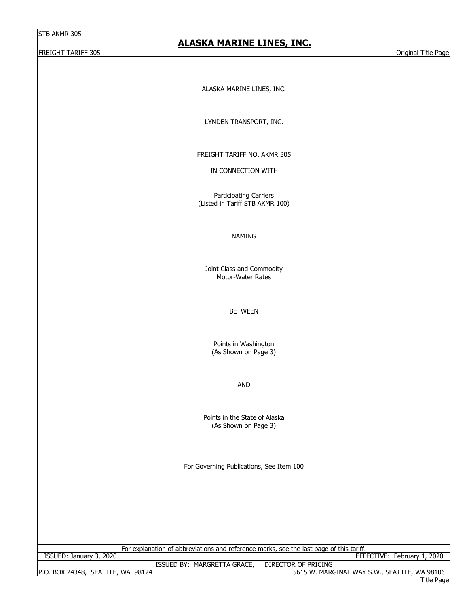#### FREIGHT TARIFF 305 Original Title Page

#### **ALASKA MARINE LINES, INC.**

ALASKA MARINE LINES, INC.

LYNDEN TRANSPORT, INC.

FREIGHT TARIFF NO. AKMR 305

IN CONNECTION WITH

Participating Carriers (Listed in Tariff STB AKMR 100)

#### NAMING

Motor-Water Rates Joint Class and Commodity

BETWEEN

Points in Washington (As Shown on Page 3)

AND

Points in the State of Alaska (As Shown on Page 3)

For Governing Publications, See Item 100

For explanation of abbreviations and reference marks, see the last page of this tariff.

ISSUED: January 3, 2020 EFFECTIVE: February 1, 2020

P.O. BOX 24348, SEATTLE, WA 98124 SEATH SAN BOARD AND THE SEATH SEATH STOLEN STOLEN STOLEN STOLEN STOLEN STOLE ISSUED BY: MARGRETTA GRACE, DIRECTOR OF PRICING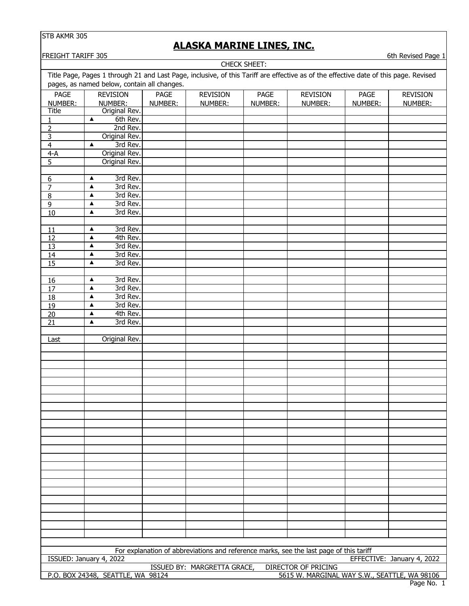# **ALASKA MARINE LINES, INC.**

FREIGHT TARIFF 305 6th Revised Page 1

| CHECK SHEET:                                                                      |                                               |             |                                                                                                                                      |             |                            |         |                            |
|-----------------------------------------------------------------------------------|-----------------------------------------------|-------------|--------------------------------------------------------------------------------------------------------------------------------------|-------------|----------------------------|---------|----------------------------|
|                                                                                   |                                               |             | Title Page, Pages 1 through 21 and Last Page, inclusive, of this Tariff are effective as of the effective date of this page. Revised |             |                            |         |                            |
|                                                                                   | pages, as named below, contain all changes.   |             |                                                                                                                                      |             |                            |         |                            |
| <b>PAGE</b>                                                                       | <b>REVISION</b>                               | <b>PAGE</b> | <b>REVISION</b>                                                                                                                      | <b>PAGE</b> | <b>REVISION</b>            | PAGE    | <b>REVISION</b>            |
| NUMBER:                                                                           | NUMBER:                                       | NUMBER:     | NUMBER:                                                                                                                              | NUMBER:     | NUMBER:                    | NUMBER: | NUMBER:                    |
| <b>Title</b>                                                                      | Original Rev.                                 |             |                                                                                                                                      |             |                            |         |                            |
| 1                                                                                 | 6th Rev.<br>▲                                 |             |                                                                                                                                      |             |                            |         |                            |
| $\overline{2}$                                                                    | 2nd Rev.                                      |             |                                                                                                                                      |             |                            |         |                            |
| 3                                                                                 | Original Rev.<br>3rd Rev.<br>▲                |             |                                                                                                                                      |             |                            |         |                            |
| $\overline{\mathbf{4}}$<br>$4-A$                                                  | Original Rev.                                 |             |                                                                                                                                      |             |                            |         |                            |
| 5                                                                                 | Original Rev.                                 |             |                                                                                                                                      |             |                            |         |                            |
|                                                                                   |                                               |             |                                                                                                                                      |             |                            |         |                            |
| $\boldsymbol{6}$                                                                  | 3rd Rev.<br>$\blacktriangle$                  |             |                                                                                                                                      |             |                            |         |                            |
| $\overline{7}$                                                                    | 3rd Rev.<br>$\blacktriangle$                  |             |                                                                                                                                      |             |                            |         |                            |
| 8                                                                                 | 3rd Rev.<br>▲                                 |             |                                                                                                                                      |             |                            |         |                            |
| $\overline{9}$                                                                    | 3rd Rev.<br>▲                                 |             |                                                                                                                                      |             |                            |         |                            |
| $10\,$                                                                            | 3rd Rev.<br>$\blacktriangle$                  |             |                                                                                                                                      |             |                            |         |                            |
|                                                                                   |                                               |             |                                                                                                                                      |             |                            |         |                            |
| 11                                                                                | 3rd Rev.<br>▲                                 |             |                                                                                                                                      |             |                            |         |                            |
| 12<br>13                                                                          | 4th Rev.<br>$\blacktriangle$<br>3rd Rev.<br>▲ |             |                                                                                                                                      |             |                            |         |                            |
| 14                                                                                | $\blacktriangle$<br>3rd Rev.                  |             |                                                                                                                                      |             |                            |         |                            |
| 15                                                                                | $\blacktriangle$<br>3rd Rev.                  |             |                                                                                                                                      |             |                            |         |                            |
|                                                                                   |                                               |             |                                                                                                                                      |             |                            |         |                            |
| 16                                                                                | 3rd Rev.<br>▲                                 |             |                                                                                                                                      |             |                            |         |                            |
| 17                                                                                | 3rd Rev.<br>$\blacktriangle$                  |             |                                                                                                                                      |             |                            |         |                            |
| $\overline{18}$                                                                   | 3rd Rev.<br>$\blacktriangle$                  |             |                                                                                                                                      |             |                            |         |                            |
| $\overline{19}$                                                                   | 3rd Rev.<br>▲                                 |             |                                                                                                                                      |             |                            |         |                            |
| 20                                                                                | $\blacktriangle$<br>4th Rev.                  |             |                                                                                                                                      |             |                            |         |                            |
| $\overline{21}$                                                                   | 3rd Rev.<br>$\blacktriangle$                  |             |                                                                                                                                      |             |                            |         |                            |
|                                                                                   |                                               |             |                                                                                                                                      |             |                            |         |                            |
| Last                                                                              | Original Rev.                                 |             |                                                                                                                                      |             |                            |         |                            |
|                                                                                   |                                               |             |                                                                                                                                      |             |                            |         |                            |
|                                                                                   |                                               |             |                                                                                                                                      |             |                            |         |                            |
|                                                                                   |                                               |             |                                                                                                                                      |             |                            |         |                            |
|                                                                                   |                                               |             |                                                                                                                                      |             |                            |         |                            |
|                                                                                   |                                               |             |                                                                                                                                      |             |                            |         |                            |
|                                                                                   |                                               |             |                                                                                                                                      |             |                            |         |                            |
|                                                                                   |                                               |             |                                                                                                                                      |             |                            |         |                            |
|                                                                                   |                                               |             |                                                                                                                                      |             |                            |         |                            |
|                                                                                   |                                               |             |                                                                                                                                      |             |                            |         |                            |
|                                                                                   |                                               |             |                                                                                                                                      |             |                            |         |                            |
|                                                                                   |                                               |             |                                                                                                                                      |             |                            |         |                            |
|                                                                                   |                                               |             |                                                                                                                                      |             |                            |         |                            |
|                                                                                   |                                               |             |                                                                                                                                      |             |                            |         |                            |
|                                                                                   |                                               |             |                                                                                                                                      |             |                            |         |                            |
|                                                                                   |                                               |             |                                                                                                                                      |             |                            |         |                            |
|                                                                                   |                                               |             |                                                                                                                                      |             |                            |         |                            |
|                                                                                   |                                               |             |                                                                                                                                      |             |                            |         |                            |
|                                                                                   |                                               |             |                                                                                                                                      |             |                            |         |                            |
|                                                                                   |                                               |             |                                                                                                                                      |             |                            |         |                            |
|                                                                                   |                                               |             |                                                                                                                                      |             |                            |         |                            |
|                                                                                   |                                               |             |                                                                                                                                      |             |                            |         |                            |
|                                                                                   |                                               |             | For explanation of abbreviations and reference marks, see the last page of this tariff                                               |             |                            |         |                            |
|                                                                                   | ISSUED: January 4, 2022                       |             |                                                                                                                                      |             |                            |         | EFFECTIVE: January 4, 2022 |
|                                                                                   |                                               |             | ISSUED BY: MARGRETTA GRACE,                                                                                                          |             | <b>DIRECTOR OF PRICING</b> |         |                            |
| 5615 W. MARGINAL WAY S.W., SEATTLE, WA 98106<br>P.O. BOX 24348, SEATTLE, WA 98124 |                                               |             |                                                                                                                                      |             |                            |         |                            |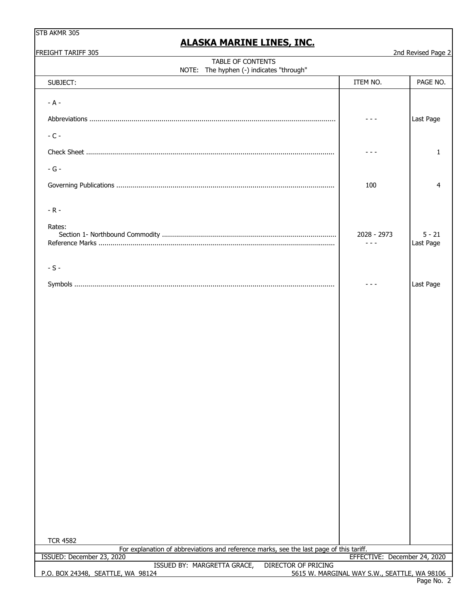|  |  | STB AKMR 305 |  |
|--|--|--------------|--|
|--|--|--------------|--|

| FREIGHT TARIFF 305                                                                                         |                                              | 2nd Revised Page 2    |
|------------------------------------------------------------------------------------------------------------|----------------------------------------------|-----------------------|
| TABLE OF CONTENTS<br>NOTE: The hyphen (-) indicates "through"                                              |                                              |                       |
| SUBJECT:                                                                                                   | ITEM NO.                                     | PAGE NO.              |
| $- A -$                                                                                                    |                                              | Last Page             |
| $-C -$                                                                                                     |                                              |                       |
|                                                                                                            |                                              | 1                     |
| $-G -$                                                                                                     |                                              |                       |
|                                                                                                            | 100                                          | 4                     |
| $-R -$                                                                                                     |                                              |                       |
| Rates:                                                                                                     | 2028 - 2973                                  | $5 - 21$<br>Last Page |
| $-S -$                                                                                                     |                                              |                       |
|                                                                                                            |                                              | Last Page             |
|                                                                                                            |                                              |                       |
| <b>TCR 4582</b><br>For explanation of abbreviations and reference marks, see the last page of this tariff. |                                              |                       |
| ISSUED: December 23, 2020<br>ISSUED BY: MARGRETTA GRACE,<br><b>DIRECTOR OF PRICING</b>                     | EFFECTIVE: December 24, 2020                 |                       |
| P.O. BOX 24348, SEATTLE, WA 98124                                                                          | 5615 W. MARGINAL WAY S.W., SEATTLE, WA 98106 |                       |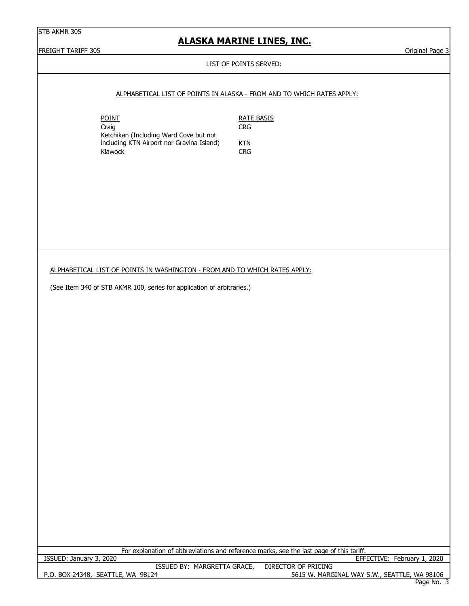## **ALASKA MARINE LINES, INC.**

FREIGHT TARIFF 305 Original Page 3

#### LIST OF POINTS SERVED:

#### ALPHABETICAL LIST OF POINTS IN ALASKA - FROM AND TO WHICH RATES APPLY:

POINT RATE BASIS Craig Craig CRG Ketchikan (Including Ward Cove but not including KTN Airport nor Gravina Island) KTN<br>Klawock CRG Klawock

ALPHABETICAL LIST OF POINTS IN WASHINGTON - FROM AND TO WHICH RATES APPLY:

(See Item 340 of STB AKMR 100, series for application of arbitraries.)

|                                   | For explanation of abbreviations and reference marks, see the last page of this tariff. |
|-----------------------------------|-----------------------------------------------------------------------------------------|
| ISSUED: January 3, 2020           | EFFECTIVE: February 1, 2020                                                             |
| ISSUED BY: MARGRETTA GRACE,       | DIRECTOR OF PRICING                                                                     |
| P.O. BOX 24348, SEATTLE, WA 98124 | 5615 W. MARGINAL WAY S.W., SEATTLE, WA 98106                                            |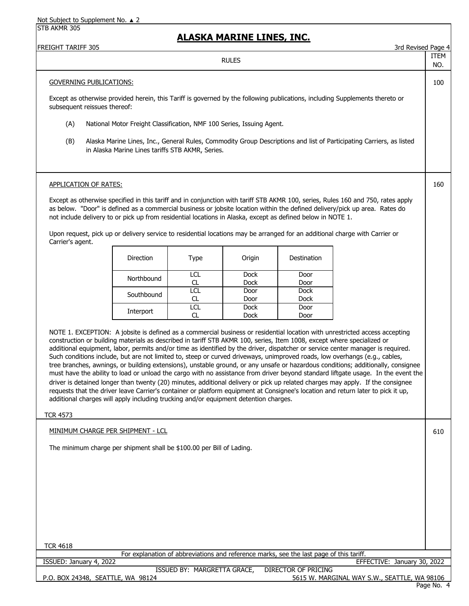| <b>FREIGHT TARIFF 305</b>                 |                                                                                                                                                                                                                |                              | <u>ALASKA MARINE LINES, INC.</u> |                                                                                         | 3rd Revised Page 4                                                                                                                                                                                                                                                                                                                                                                                                                                                                                                                                                                                                                                                                                                                                                                                                                                                                                                                          |             |
|-------------------------------------------|----------------------------------------------------------------------------------------------------------------------------------------------------------------------------------------------------------------|------------------------------|----------------------------------|-----------------------------------------------------------------------------------------|---------------------------------------------------------------------------------------------------------------------------------------------------------------------------------------------------------------------------------------------------------------------------------------------------------------------------------------------------------------------------------------------------------------------------------------------------------------------------------------------------------------------------------------------------------------------------------------------------------------------------------------------------------------------------------------------------------------------------------------------------------------------------------------------------------------------------------------------------------------------------------------------------------------------------------------------|-------------|
|                                           |                                                                                                                                                                                                                |                              | <b>RULES</b>                     |                                                                                         |                                                                                                                                                                                                                                                                                                                                                                                                                                                                                                                                                                                                                                                                                                                                                                                                                                                                                                                                             | ITEM<br>NO. |
| <b>GOVERNING PUBLICATIONS:</b>            |                                                                                                                                                                                                                |                              |                                  |                                                                                         |                                                                                                                                                                                                                                                                                                                                                                                                                                                                                                                                                                                                                                                                                                                                                                                                                                                                                                                                             | 100         |
| subsequent reissues thereof:              |                                                                                                                                                                                                                |                              |                                  |                                                                                         | Except as otherwise provided herein, this Tariff is governed by the following publications, including Supplements thereto or                                                                                                                                                                                                                                                                                                                                                                                                                                                                                                                                                                                                                                                                                                                                                                                                                |             |
| (A)                                       | National Motor Freight Classification, NMF 100 Series, Issuing Agent.                                                                                                                                          |                              |                                  |                                                                                         |                                                                                                                                                                                                                                                                                                                                                                                                                                                                                                                                                                                                                                                                                                                                                                                                                                                                                                                                             |             |
| (B)                                       | in Alaska Marine Lines tariffs STB AKMR, Series.                                                                                                                                                               |                              |                                  |                                                                                         | Alaska Marine Lines, Inc., General Rules, Commodity Group Descriptions and list of Participating Carriers, as listed                                                                                                                                                                                                                                                                                                                                                                                                                                                                                                                                                                                                                                                                                                                                                                                                                        |             |
| <b>APPLICATION OF RATES:</b>              |                                                                                                                                                                                                                |                              |                                  |                                                                                         |                                                                                                                                                                                                                                                                                                                                                                                                                                                                                                                                                                                                                                                                                                                                                                                                                                                                                                                                             | 160         |
| Carrier's agent.                          | not include delivery to or pick up from residential locations in Alaska, except as defined below in NOTE 1.                                                                                                    |                              |                                  |                                                                                         | Except as otherwise specified in this tariff and in conjunction with tariff STB AKMR 100, series, Rules 160 and 750, rates apply<br>as below. "Door" is defined as a commercial business or jobsite location within the defined delivery/pick up area. Rates do<br>Upon request, pick up or delivery service to residential locations may be arranged for an additional charge with Carrier or                                                                                                                                                                                                                                                                                                                                                                                                                                                                                                                                              |             |
|                                           | <b>Direction</b>                                                                                                                                                                                               | <b>Type</b>                  | Origin                           | Destination                                                                             |                                                                                                                                                                                                                                                                                                                                                                                                                                                                                                                                                                                                                                                                                                                                                                                                                                                                                                                                             |             |
|                                           | Northbound                                                                                                                                                                                                     | LCL<br>CL                    | <b>Dock</b><br><b>Dock</b>       | Door<br>Door                                                                            |                                                                                                                                                                                                                                                                                                                                                                                                                                                                                                                                                                                                                                                                                                                                                                                                                                                                                                                                             |             |
|                                           | Southbound                                                                                                                                                                                                     | $\overline{LC}$<br><b>CL</b> | Door<br>Door                     | Dock<br><b>Dock</b>                                                                     |                                                                                                                                                                                                                                                                                                                                                                                                                                                                                                                                                                                                                                                                                                                                                                                                                                                                                                                                             |             |
|                                           | Interport                                                                                                                                                                                                      | $\overline{LC}$<br>CL        | <b>Dock</b><br>Dock              | Door<br>Door                                                                            |                                                                                                                                                                                                                                                                                                                                                                                                                                                                                                                                                                                                                                                                                                                                                                                                                                                                                                                                             |             |
|                                           | construction or building materials as described in tariff STB AKMR 100, series, Item 1008, except where specialized or<br>additional charges will apply including trucking and/or equipment detention charges. |                              |                                  |                                                                                         | NOTE 1. EXCEPTION: A jobsite is defined as a commercial business or residential location with unrestricted access accepting<br>additional equipment, labor, permits and/or time as identified by the driver, dispatcher or service center manager is required.<br>Such conditions include, but are not limited to, steep or curved driveways, unimproved roads, low overhangs (e.g., cables,<br>tree branches, awnings, or building extensions), unstable ground, or any unsafe or hazardous conditions; additionally, consignee<br>must have the ability to load or unload the cargo with no assistance from driver beyond standard liftgate usage. In the event the<br>driver is detained longer than twenty (20) minutes, additional delivery or pick up related charges may apply. If the consignee<br>requests that the driver leave Carrier's container or platform equipment at Consignee's location and return later to pick it up, |             |
| <b>TCR 4573</b>                           |                                                                                                                                                                                                                |                              |                                  |                                                                                         |                                                                                                                                                                                                                                                                                                                                                                                                                                                                                                                                                                                                                                                                                                                                                                                                                                                                                                                                             |             |
| <u> MINIMUM CHARGE PER SHIPMENT - LCL</u> | The minimum charge per shipment shall be \$100.00 per Bill of Lading.                                                                                                                                          |                              |                                  |                                                                                         |                                                                                                                                                                                                                                                                                                                                                                                                                                                                                                                                                                                                                                                                                                                                                                                                                                                                                                                                             | 610         |
| <b>TCR 4618</b>                           |                                                                                                                                                                                                                |                              |                                  |                                                                                         |                                                                                                                                                                                                                                                                                                                                                                                                                                                                                                                                                                                                                                                                                                                                                                                                                                                                                                                                             |             |
| ISSUED: January 4, 2022                   |                                                                                                                                                                                                                |                              |                                  | For explanation of abbreviations and reference marks, see the last page of this tariff. | EFFECTIVE: January 30, 2022                                                                                                                                                                                                                                                                                                                                                                                                                                                                                                                                                                                                                                                                                                                                                                                                                                                                                                                 |             |
| P.O. BOX 24348, SEATTLE, WA 98124         |                                                                                                                                                                                                                | ISSUED BY: MARGRETTA GRACE,  |                                  | <b>DIRECTOR OF PRICING</b>                                                              | 5615 W. MARGINAL WAY S.W., SEATTLE, WA 98106                                                                                                                                                                                                                                                                                                                                                                                                                                                                                                                                                                                                                                                                                                                                                                                                                                                                                                |             |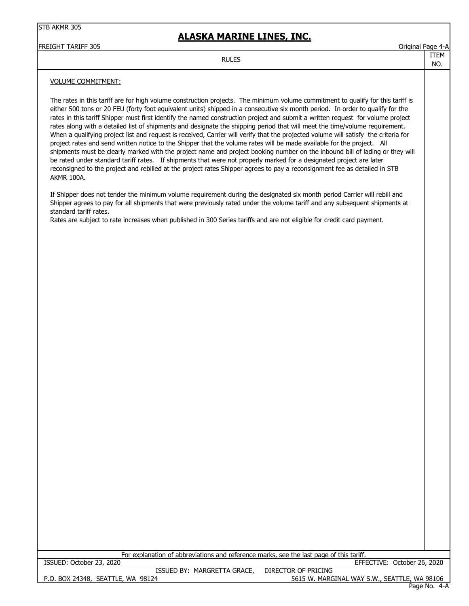## **ALASKA MARINE LINES, INC.**

FREIGHT TARIFF 305 Original Page 4-A

#### RULES TEMPORARY AND THE TREM

NO.

#### VOLUME COMMITMENT:

The rates in this tariff are for high volume construction projects. The minimum volume commitment to qualify for this tariff is either 500 tons or 20 FEU (forty foot equivalent units) shipped in a consecutive six month period. In order to qualify for the rates in this tariff Shipper must first identify the named construction project and submit a written request for volume project rates along with a detailed list of shipments and designate the shipping period that will meet the time/volume requirement. When a qualifying project list and request is received, Carrier will verify that the projected volume will satisfy the criteria for project rates and send written notice to the Shipper that the volume rates will be made available for the project. All shipments must be clearly marked with the project name and project booking number on the inbound bill of lading or they will be rated under standard tariff rates. If shipments that were not properly marked for a designated project are later reconsigned to the project and rebilled at the project rates Shipper agrees to pay a reconsignment fee as detailed in STB AKMR 100A.

If Shipper does not tender the minimum volume requirement during the designated six month period Carrier will rebill and Shipper agrees to pay for all shipments that were previously rated under the volume tariff and any subsequent shipments at standard tariff rates.

Rates are subject to rate increases when published in 300 Series tariffs and are not eligible for credit card payment.

For explanation of abbreviations and reference marks, see the last page of this tariff.

P.O. BOX 24348, SEATTLE, WA 98124 5615 W. MARGINAL WAY S.W., SEATTLE, WA 98106 ISSUED BY: MARGRETTA GRACE, DIRECTOR OF PRICING EFFECTIVE: October 26, 2020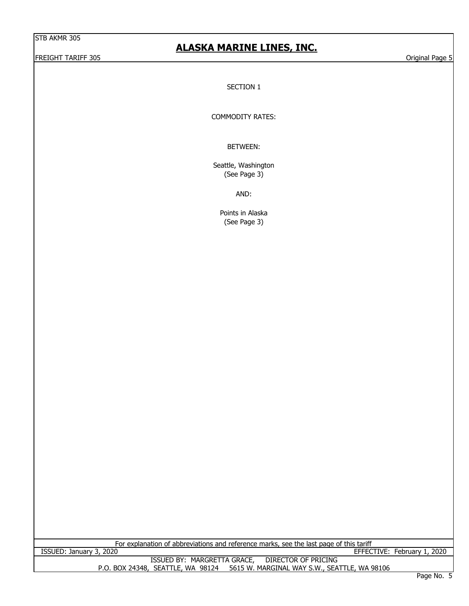#### FREIGHT TARIFF 305 Original Page 5

## **ALASKA MARINE LINES, INC.**

SECTION 1

COMMODITY RATES:

BETWEEN:

Seattle, Washington (See Page 3)

AND:

Points in Alaska (See Page 3)

For explanation of abbreviations and reference marks, see the last page of this tariff<br>EFFEC

P.O. BOX 24348, SEATTLE, WA 98124 5615 W. MARGINAL WAY S.W., SEATTLE, WA 98106 EFFECTIVE: February 1, 2020 ISSUED BY: MARGRETTA GRACE, DIRECTOR OF PRICING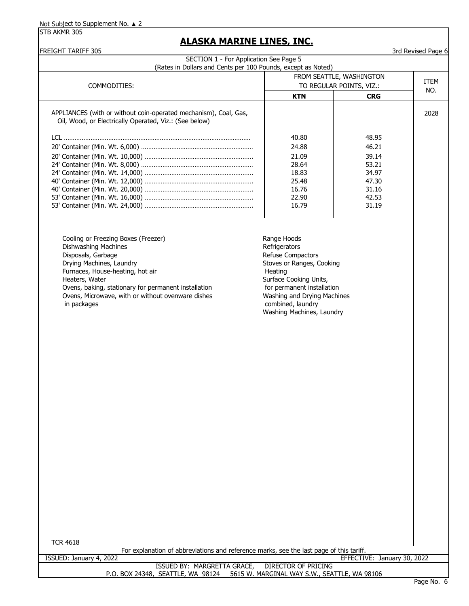## **ALASKA MARINE LINES, INC.**

| FREIGHT TARIFF 305<br>SECTION 1 - For Application See Page 5                                                                                                                                                                                                                                    |                                                                                                                                                                                                                                    |             | 3rd Revised Page 6 |
|-------------------------------------------------------------------------------------------------------------------------------------------------------------------------------------------------------------------------------------------------------------------------------------------------|------------------------------------------------------------------------------------------------------------------------------------------------------------------------------------------------------------------------------------|-------------|--------------------|
| (Rates in Dollars and Cents per 100 Pounds, except as Noted)                                                                                                                                                                                                                                    |                                                                                                                                                                                                                                    |             |                    |
|                                                                                                                                                                                                                                                                                                 | FROM SEATTLE, WASHINGTON                                                                                                                                                                                                           | <b>ITEM</b> |                    |
| COMMODITIES:                                                                                                                                                                                                                                                                                    | TO REGULAR POINTS, VIZ.:                                                                                                                                                                                                           | NO.         |                    |
|                                                                                                                                                                                                                                                                                                 | <b>KTN</b>                                                                                                                                                                                                                         | <b>CRG</b>  |                    |
| APPLIANCES (with or without coin-operated mechanism), Coal, Gas,<br>Oil, Wood, or Electrically Operated, Viz.: (See below)                                                                                                                                                                      |                                                                                                                                                                                                                                    |             | 2028               |
|                                                                                                                                                                                                                                                                                                 | 40.80                                                                                                                                                                                                                              | 48.95       |                    |
|                                                                                                                                                                                                                                                                                                 | 24.88                                                                                                                                                                                                                              | 46.21       |                    |
|                                                                                                                                                                                                                                                                                                 | 21.09                                                                                                                                                                                                                              | 39.14       |                    |
|                                                                                                                                                                                                                                                                                                 | 28.64                                                                                                                                                                                                                              | 53.21       |                    |
|                                                                                                                                                                                                                                                                                                 | 18.83                                                                                                                                                                                                                              | 34.97       |                    |
|                                                                                                                                                                                                                                                                                                 | 25.48                                                                                                                                                                                                                              | 47.30       |                    |
|                                                                                                                                                                                                                                                                                                 | 16.76                                                                                                                                                                                                                              | 31.16       |                    |
|                                                                                                                                                                                                                                                                                                 | 22.90                                                                                                                                                                                                                              | 42.53       |                    |
|                                                                                                                                                                                                                                                                                                 | 16.79                                                                                                                                                                                                                              | 31.19       |                    |
| Cooling or Freezing Boxes (Freezer)<br>Dishwashing Machines<br>Disposals, Garbage<br>Drying Machines, Laundry<br>Furnaces, House-heating, hot air<br>Heaters, Water<br>Ovens, baking, stationary for permanent installation<br>Ovens, Microwave, with or without ovenware dishes<br>in packages | Range Hoods<br>Refrigerators<br>Refuse Compactors<br>Stoves or Ranges, Cooking<br>Heating<br>Surface Cooking Units,<br>for permanent installation<br>Washing and Drying Machines<br>combined, laundry<br>Washing Machines, Laundry |             |                    |
|                                                                                                                                                                                                                                                                                                 |                                                                                                                                                                                                                                    |             |                    |

TCR 4618

ISSUED BY: MARGRETTA GRACE, DIRECTOR OF PRICING P.O. BOX 24348, SEATTLE, WA 98124 5615 W. MARGINAL WAY S.W., SEATTLE, WA 98106 For explanation of abbreviations and reference marks, see the last page of this tariff. ISSUED: January 4, 2022 EFFECTIVE: January 30, 2022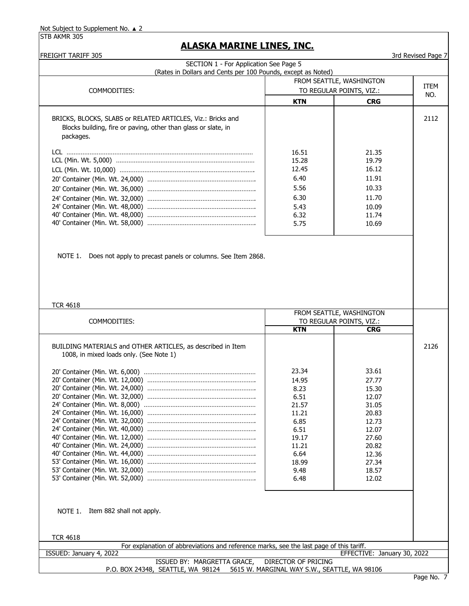| FREIGHT TARIFF 305<br>SECTION 1 - For Application See Page 5                            |                            |                             | 3rd Revised Page 7 |
|-----------------------------------------------------------------------------------------|----------------------------|-----------------------------|--------------------|
| (Rates in Dollars and Cents per 100 Pounds, except as Noted)                            |                            |                             |                    |
|                                                                                         |                            | FROM SEATTLE, WASHINGTON    |                    |
| COMMODITIES:                                                                            |                            | TO REGULAR POINTS, VIZ.:    | <b>ITEM</b>        |
|                                                                                         | <b>KTN</b>                 | <b>CRG</b>                  | NO.                |
|                                                                                         |                            |                             |                    |
| BRICKS, BLOCKS, SLABS or RELATED ARTICLES, Viz.: Bricks and                             |                            |                             | 2112               |
| Blocks building, fire or paving, other than glass or slate, in                          |                            |                             |                    |
| packages.                                                                               |                            |                             |                    |
|                                                                                         | 16.51                      | 21.35                       |                    |
|                                                                                         | 15.28                      | 19.79                       |                    |
|                                                                                         | 12.45                      | 16.12                       |                    |
|                                                                                         | 6.40                       | 11.91                       |                    |
|                                                                                         | 5.56                       | 10.33                       |                    |
|                                                                                         | 6.30                       | 11.70                       |                    |
|                                                                                         | 5.43                       | 10.09                       |                    |
|                                                                                         | 6.32                       | 11.74                       |                    |
|                                                                                         | 5.75                       | 10.69                       |                    |
|                                                                                         |                            |                             |                    |
|                                                                                         |                            |                             |                    |
|                                                                                         |                            |                             |                    |
| Does not apply to precast panels or columns. See Item 2868.<br>NOTE 1.                  |                            |                             |                    |
|                                                                                         |                            |                             |                    |
|                                                                                         |                            |                             |                    |
|                                                                                         |                            |                             |                    |
|                                                                                         |                            |                             |                    |
| <b>TCR 4618</b>                                                                         |                            |                             |                    |
|                                                                                         |                            | FROM SEATTLE, WASHINGTON    |                    |
| COMMODITIES:                                                                            |                            | TO REGULAR POINTS, VIZ.:    |                    |
|                                                                                         | <b>KTN</b>                 | <b>CRG</b>                  |                    |
|                                                                                         |                            |                             |                    |
| BUILDING MATERIALS and OTHER ARTICLES, as described in Item                             |                            |                             | 2126               |
| 1008, in mixed loads only. (See Note 1)                                                 |                            |                             |                    |
|                                                                                         | 23.34                      | 33.61                       |                    |
|                                                                                         |                            |                             |                    |
|                                                                                         | 14.95<br>8.23              | 27.77<br>15.30              |                    |
|                                                                                         | 6.51                       | 12.07                       |                    |
|                                                                                         | 21.57                      | 31.05                       |                    |
|                                                                                         | 11.21                      | 20.83                       |                    |
|                                                                                         | 6.85                       | 12.73                       |                    |
|                                                                                         | 6.51                       | 12.07                       |                    |
|                                                                                         | 19.17                      | 27.60                       |                    |
|                                                                                         | 11.21                      | 20.82                       |                    |
|                                                                                         | 6.64                       | 12.36                       |                    |
|                                                                                         | 18.99                      | 27.34                       |                    |
|                                                                                         | 9.48                       | 18.57                       |                    |
|                                                                                         | 6.48                       | 12.02                       |                    |
|                                                                                         |                            |                             |                    |
|                                                                                         |                            |                             |                    |
| NOTE 1. Item 882 shall not apply.                                                       |                            |                             |                    |
|                                                                                         |                            |                             |                    |
|                                                                                         |                            |                             |                    |
| <b>TCR 4618</b>                                                                         |                            |                             |                    |
| For explanation of abbreviations and reference marks, see the last page of this tariff. |                            |                             |                    |
| ISSUED: January 4, 2022                                                                 |                            | EFFECTIVE: January 30, 2022 |                    |
| ISSUED BY: MARGRETTA GRACE,                                                             | <b>DIRECTOR OF PRICING</b> |                             |                    |
| P.O. BOX 24348, SEATTLE, WA 98124 5615 W. MARGINAL WAY S.W., SEATTLE, WA 98106          |                            |                             |                    |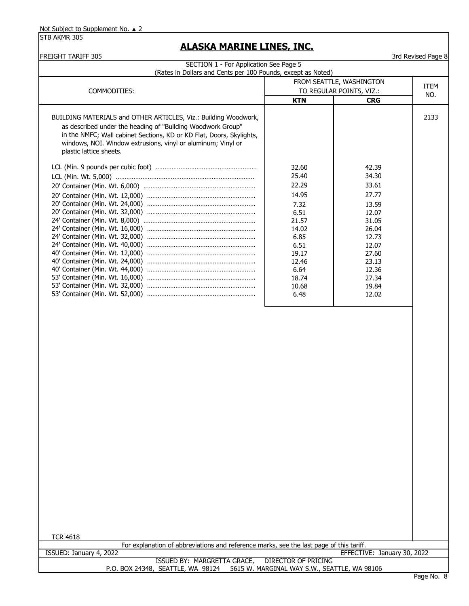STB AKMR 305

## **ALASKA MARINE LINES, INC.**

| <b>FREIGHT TARIFF 305</b>                                                               |               |                                                      | 3rd Revised Page 8 |  |  |
|-----------------------------------------------------------------------------------------|---------------|------------------------------------------------------|--------------------|--|--|
| SECTION 1 - For Application See Page 5                                                  |               |                                                      |                    |  |  |
| (Rates in Dollars and Cents per 100 Pounds, except as Noted)                            |               |                                                      |                    |  |  |
|                                                                                         |               | FROM SEATTLE, WASHINGTON<br>TO REGULAR POINTS, VIZ.: |                    |  |  |
| COMMODITIES:                                                                            |               |                                                      | NO.                |  |  |
|                                                                                         | <b>KTN</b>    | <b>CRG</b>                                           |                    |  |  |
| BUILDING MATERIALS and OTHER ARTICLES, Viz.: Building Woodwork,                         |               |                                                      | 2133               |  |  |
| as described under the heading of "Building Woodwork Group"                             |               |                                                      |                    |  |  |
| in the NMFC; Wall cabinet Sections, KD or KD Flat, Doors, Skylights,                    |               |                                                      |                    |  |  |
| windows, NOI. Window extrusions, vinyl or aluminum; Vinyl or                            |               |                                                      |                    |  |  |
| plastic lattice sheets.                                                                 |               |                                                      |                    |  |  |
|                                                                                         | 32.60         | 42.39                                                |                    |  |  |
|                                                                                         | 25.40         | 34.30                                                |                    |  |  |
|                                                                                         | 22.29         | 33.61                                                |                    |  |  |
|                                                                                         | 14.95         | 27.77                                                |                    |  |  |
|                                                                                         | 7.32          | 13.59                                                |                    |  |  |
|                                                                                         | 6.51          | 12.07                                                |                    |  |  |
|                                                                                         | 21.57         | 31.05                                                |                    |  |  |
|                                                                                         | 14.02<br>6.85 | 26.04<br>12.73                                       |                    |  |  |
|                                                                                         | 6.51          | 12.07                                                |                    |  |  |
|                                                                                         | 19.17         | 27.60                                                |                    |  |  |
|                                                                                         | 12.46         | 23.13                                                |                    |  |  |
|                                                                                         | 6.64          | 12.36                                                |                    |  |  |
|                                                                                         | 18.74         | 27.34                                                |                    |  |  |
|                                                                                         | 10.68<br>6.48 | 19.84<br>12.02                                       |                    |  |  |
|                                                                                         |               |                                                      |                    |  |  |
|                                                                                         |               |                                                      |                    |  |  |
|                                                                                         |               |                                                      |                    |  |  |
|                                                                                         |               |                                                      |                    |  |  |
|                                                                                         |               |                                                      |                    |  |  |
|                                                                                         |               |                                                      |                    |  |  |
|                                                                                         |               |                                                      |                    |  |  |
|                                                                                         |               |                                                      |                    |  |  |
|                                                                                         |               |                                                      |                    |  |  |
|                                                                                         |               |                                                      |                    |  |  |
|                                                                                         |               |                                                      |                    |  |  |
|                                                                                         |               |                                                      |                    |  |  |
|                                                                                         |               |                                                      |                    |  |  |
|                                                                                         |               |                                                      |                    |  |  |
|                                                                                         |               |                                                      |                    |  |  |
|                                                                                         |               |                                                      |                    |  |  |
|                                                                                         |               |                                                      |                    |  |  |
|                                                                                         |               |                                                      |                    |  |  |
|                                                                                         |               |                                                      |                    |  |  |
|                                                                                         |               |                                                      |                    |  |  |
|                                                                                         |               |                                                      |                    |  |  |
|                                                                                         |               |                                                      |                    |  |  |
|                                                                                         |               |                                                      |                    |  |  |
|                                                                                         |               |                                                      |                    |  |  |
| <b>TCR 4618</b>                                                                         |               |                                                      |                    |  |  |
| For explanation of abbreviations and reference marks, see the last page of this tariff. |               |                                                      |                    |  |  |
| ISSUED: January 4, 2022                                                                 |               | EFFECTIVE: January 30, 2022                          |                    |  |  |

ISSUED BY: MARGRETTA GRACE, DIRECTOR OF PRICING P.O. BOX 24348, SEATTLE, WA 98124 5615 W. MARGINAL WAY S.W., SEATTLE, WA 98106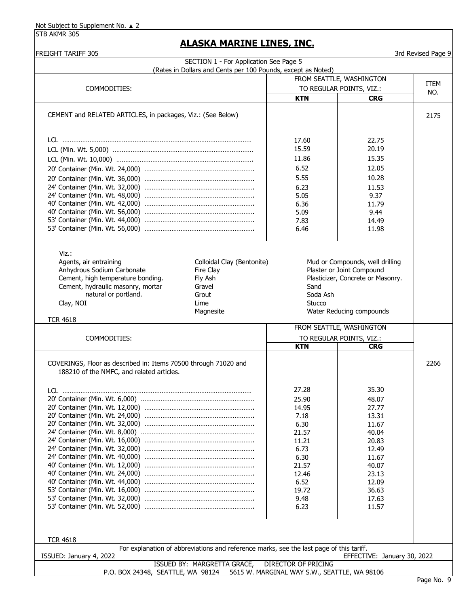STB AKMR 305

| <b>FREIGHT TARIFF 305</b>                                       | SECTION 1 - For Application See Page 5                                                  |                            |                                   | 3rd Revised Page 9 |
|-----------------------------------------------------------------|-----------------------------------------------------------------------------------------|----------------------------|-----------------------------------|--------------------|
|                                                                 | (Rates in Dollars and Cents per 100 Pounds, except as Noted)                            |                            |                                   |                    |
|                                                                 |                                                                                         | FROM SEATTLE, WASHINGTON   |                                   |                    |
| COMMODITIES:                                                    |                                                                                         | TO REGULAR POINTS, VIZ.:   |                                   | <b>ITEM</b>        |
|                                                                 |                                                                                         | <b>KTN</b>                 | <b>CRG</b>                        | NO.                |
|                                                                 |                                                                                         |                            |                                   |                    |
| CEMENT and RELATED ARTICLES, in packages, Viz.: (See Below)     |                                                                                         |                            |                                   | 2175               |
|                                                                 |                                                                                         |                            |                                   |                    |
|                                                                 |                                                                                         | 17.60                      | 22.75                             |                    |
|                                                                 |                                                                                         | 15.59                      | 20.19                             |                    |
|                                                                 |                                                                                         | 11.86                      | 15.35                             |                    |
|                                                                 |                                                                                         | 6.52                       | 12.05                             |                    |
|                                                                 |                                                                                         | 5.55                       | 10.28                             |                    |
|                                                                 |                                                                                         | 6.23                       | 11.53                             |                    |
|                                                                 |                                                                                         | 5.05                       | 9.37                              |                    |
|                                                                 |                                                                                         | 6.36                       | 11.79                             |                    |
|                                                                 |                                                                                         | 5.09                       | 9.44                              |                    |
|                                                                 |                                                                                         | 7.83                       | 14.49                             |                    |
|                                                                 |                                                                                         | 6.46                       | 11.98                             |                    |
|                                                                 |                                                                                         |                            |                                   |                    |
| $Viz.$ :                                                        |                                                                                         |                            |                                   |                    |
| Agents, air entraining                                          | Colloidal Clay (Bentonite)                                                              |                            | Mud or Compounds, well drilling   |                    |
| Anhydrous Sodium Carbonate                                      | Fire Clay                                                                               |                            | Plaster or Joint Compound         |                    |
| Cement, high temperature bonding.                               | Fly Ash                                                                                 |                            | Plasticizer, Concrete or Masonry. |                    |
| Cement, hydraulic masonry, mortar                               | Gravel                                                                                  | Sand                       |                                   |                    |
| natural or portland.                                            | Grout                                                                                   | Soda Ash                   |                                   |                    |
| Clay, NOI                                                       | Lime                                                                                    | Stucco                     |                                   |                    |
|                                                                 | Magnesite                                                                               |                            | Water Reducing compounds          |                    |
| <b>TCR 4618</b>                                                 |                                                                                         | FROM SEATTLE, WASHINGTON   |                                   |                    |
| COMMODITIES:                                                    |                                                                                         | TO REGULAR POINTS, VIZ.:   |                                   |                    |
|                                                                 |                                                                                         | <b>KTN</b>                 | <b>CRG</b>                        |                    |
|                                                                 |                                                                                         |                            |                                   |                    |
| COVERINGS, Floor as described in: Items 70500 through 71020 and |                                                                                         |                            |                                   | 2266               |
| 188210 of the NMFC, and related articles.                       |                                                                                         |                            |                                   |                    |
| <u>LCL ………………………………………………………………………………………</u>                    |                                                                                         | 27.28                      | 35.30                             |                    |
|                                                                 |                                                                                         | 25.90                      | 48.07                             |                    |
|                                                                 |                                                                                         | 14.95                      | 27.77                             |                    |
|                                                                 |                                                                                         | 7.18                       | 13.31                             |                    |
|                                                                 |                                                                                         | 6.30                       | 11.67                             |                    |
|                                                                 |                                                                                         | 21.57                      | 40.04                             |                    |
|                                                                 |                                                                                         | 11.21                      | 20.83                             |                    |
|                                                                 |                                                                                         | 6.73                       | 12.49                             |                    |
|                                                                 |                                                                                         | 6.30                       | 11.67                             |                    |
|                                                                 |                                                                                         | 21.57                      | 40.07                             |                    |
|                                                                 |                                                                                         | 12.46                      | 23.13                             |                    |
|                                                                 |                                                                                         | 6.52<br>19.72              | 12.09<br>36.63                    |                    |
|                                                                 |                                                                                         | 9.48                       | 17.63                             |                    |
|                                                                 |                                                                                         | 6.23                       | 11.57                             |                    |
|                                                                 |                                                                                         |                            |                                   |                    |
|                                                                 |                                                                                         |                            |                                   |                    |
| <b>TCR 4618</b>                                                 |                                                                                         |                            |                                   |                    |
|                                                                 | For explanation of abbreviations and reference marks, see the last page of this tariff. |                            |                                   |                    |
| ISSUED: January 4, 2022                                         |                                                                                         |                            | EFFECTIVE: January 30, 2022       |                    |
|                                                                 | ISSUED BY: MARGRETTA GRACE,                                                             | <b>DIRECTOR OF PRICING</b> |                                   |                    |
|                                                                 | P.O. BOX 24348, SEATTLE, WA 98124 5615 W. MARGINAL WAY S.W., SEATTLE, WA 98106          |                            |                                   |                    |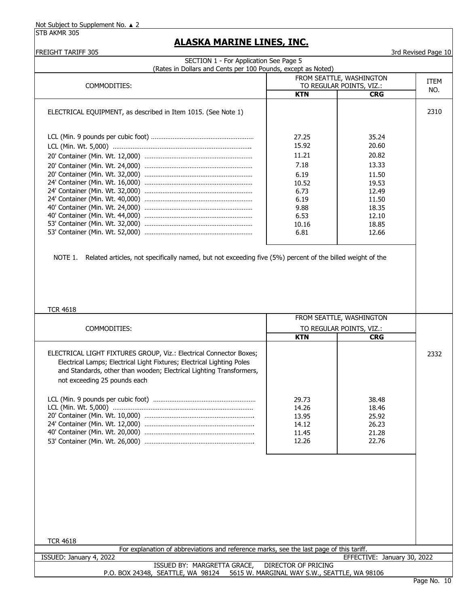STB AKMR 305

| COMMODITIES:<br>ELECTRICAL EQUIPMENT, as described in Item 1015. (See Note 1)                                        | <b>KTN</b><br>27.25 | TO REGULAR POINTS, VIZ.:<br><b>CRG</b> | <b>ITEM</b><br>NO. |
|----------------------------------------------------------------------------------------------------------------------|---------------------|----------------------------------------|--------------------|
|                                                                                                                      |                     |                                        |                    |
|                                                                                                                      |                     |                                        |                    |
|                                                                                                                      |                     |                                        | 2310               |
|                                                                                                                      |                     | 35.24                                  |                    |
|                                                                                                                      | 15.92               | 20.60                                  |                    |
|                                                                                                                      | 11.21               | 20.82                                  |                    |
|                                                                                                                      | 7.18                | 13.33                                  |                    |
|                                                                                                                      | 6.19                | 11.50                                  |                    |
|                                                                                                                      | 10.52               | 19.53                                  |                    |
|                                                                                                                      | 6.73                | 12.49                                  |                    |
|                                                                                                                      | 6.19                | 11.50                                  |                    |
|                                                                                                                      | 9.88                | 18.35                                  |                    |
|                                                                                                                      | 6.53                | 12.10                                  |                    |
|                                                                                                                      | 10.16<br>6.81       | 18.85<br>12.66                         |                    |
|                                                                                                                      |                     |                                        |                    |
| Related articles, not specifically named, but not exceeding five (5%) percent of the billed weight of the<br>NOTE 1. |                     |                                        |                    |
|                                                                                                                      |                     |                                        |                    |
|                                                                                                                      |                     |                                        |                    |
|                                                                                                                      |                     |                                        |                    |
|                                                                                                                      |                     |                                        |                    |
|                                                                                                                      |                     |                                        |                    |
| <b>TCR 4618</b>                                                                                                      |                     |                                        |                    |
|                                                                                                                      |                     | FROM SEATTLE, WASHINGTON               |                    |
| COMMODITIES:                                                                                                         |                     | TO REGULAR POINTS, VIZ.:               |                    |
|                                                                                                                      | <b>KTN</b>          | <b>CRG</b>                             |                    |
| ELECTRICAL LIGHT FIXTURES GROUP, Viz.: Electrical Connector Boxes;                                                   |                     |                                        | 2332               |
| Electrical Lamps; Electrical Light Fixtures; Electrical Lighting Poles                                               |                     |                                        |                    |
| and Standards, other than wooden; Electrical Lighting Transformers,                                                  |                     |                                        |                    |
| not exceeding 25 pounds each                                                                                         |                     |                                        |                    |
|                                                                                                                      |                     |                                        |                    |
|                                                                                                                      | 29.73               | 38.48                                  |                    |
|                                                                                                                      | 14.26               | 18.46                                  |                    |
|                                                                                                                      | 13.95               | 25.92                                  |                    |
|                                                                                                                      | 14.12               | 26.23                                  |                    |
|                                                                                                                      | 11.45               | 21.28<br>22.76                         |                    |
|                                                                                                                      | 12.26               |                                        |                    |
|                                                                                                                      |                     |                                        |                    |
|                                                                                                                      |                     |                                        |                    |
|                                                                                                                      |                     |                                        |                    |
|                                                                                                                      |                     |                                        |                    |
|                                                                                                                      |                     |                                        |                    |
|                                                                                                                      |                     |                                        |                    |
|                                                                                                                      |                     |                                        |                    |
|                                                                                                                      |                     |                                        |                    |
|                                                                                                                      |                     |                                        |                    |
| <b>TCR 4618</b>                                                                                                      |                     |                                        |                    |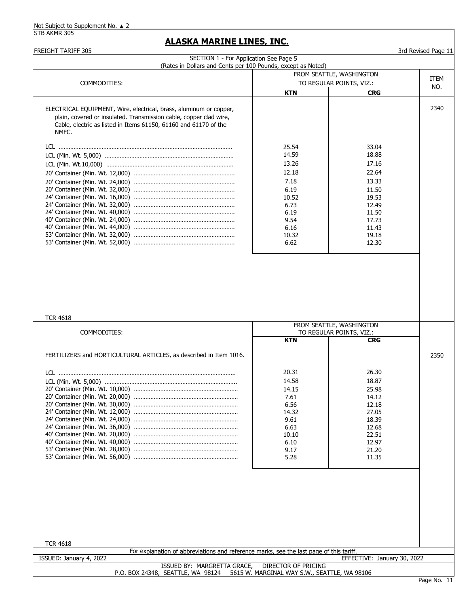STB AKMR 305

#### **ALASKA MARINE LINES, INC.**

FREIGHT TARIFF 305 3rd Revised Page 11 COMMODITIES: ELECTRICAL EQUIPMENT, Wire, electrical, brass, aluminum or copper, 2340 plain, covered or insulated. Transmission cable, copper clad wire, Cable, electric as listed in Items 61150, 61160 and 61170 of the NMFC. LCL …………………………………………………………………………………………… LCL (Min. Wt. 5,000) …………………………………………………………………… LCL (Min. Wt.10,000) ………………………………………………………………….. 20' Container (Min. Wt. 12,000) ……………………………………………………. 20' Container (Min. Wt. 24,000) ……………………………………………………. 20' Container (Min. Wt. 32,000) ……………………………………………………. 24' Container (Min. Wt. 16,000) ……………………………………………………. 24' Container (Min. Wt. 32,000) ……………………………………………………. 24' Container (Min. Wt. 40,000) ……………………………………………………. 40' Container (Min. Wt. 24,000) ……………………………………………………. 40' Container (Min. Wt. 44,000) ……………………………………………………. 53' Container (Min. Wt. 32,000) ……………………………………………………. 53' Container (Min. Wt. 52,000) ……………………………………………………. SECTION 1 - For Application See Page 5 (Rates in Dollars and Cents per 100 Pounds, except as Noted) ITEM NO. FROM SEATTLE, WASHINGTON TO REGULAR POINTS, VIZ.: **KTN CRG** 25.54 14.59 13.26 10.32 6.62 7.18 6.19 6.16 12.18 10.52 6.73 6.19 9.54 33.04 18.88 17.16 22.64 13.33 11.50 19.53 12.49 11.50 17.73 11.43 19.18 12.30

#### TCR 4618

| COMMODITIES:                                                       | FROM SEATTLE, WASHINGTON<br>TO REGULAR POINTS, VIZ.: |            |      |
|--------------------------------------------------------------------|------------------------------------------------------|------------|------|
|                                                                    | <b>KTN</b>                                           | <b>CRG</b> |      |
| FERTILIZERS and HORTICULTURAL ARTICLES, as described in Item 1016. |                                                      |            | 2350 |
|                                                                    | 20.31                                                | 26.30      |      |
|                                                                    | 14.58                                                | 18.87      |      |
|                                                                    | 14.15                                                | 25.98      |      |
|                                                                    | 7.61                                                 | 14.12      |      |
|                                                                    | 6.56                                                 | 12.18      |      |
|                                                                    | 14.32                                                | 27.05      |      |
|                                                                    | 9.61                                                 | 18.39      |      |
|                                                                    | 6.63                                                 | 12.68      |      |
|                                                                    | 10.10                                                | 22.51      |      |
|                                                                    | 6.10                                                 | 12.97      |      |
|                                                                    | 9.17                                                 | 21.20      |      |
|                                                                    | 5.28                                                 | 11.35      |      |
|                                                                    |                                                      |            |      |
|                                                                    |                                                      |            |      |
|                                                                    |                                                      |            |      |
|                                                                    |                                                      |            |      |
|                                                                    |                                                      |            |      |
|                                                                    |                                                      |            |      |
|                                                                    |                                                      |            |      |

| TCR 4618                |                                                                                         |   |  |
|-------------------------|-----------------------------------------------------------------------------------------|---|--|
|                         | For explanation of abbreviations and reference marks, see the last page of this tariff. |   |  |
| ISSUED: January 4, 2022 | EFFECTIVE: January 30, 2022                                                             |   |  |
|                         | ISSUED BY: MARGRETTA GRACE,<br>DIRECTOR OF PRICING                                      |   |  |
|                         | P.O. BOX 24348, SEATTLE, WA 98124 5615 W. MARGINAL WAY S.W., SEATTLE, WA 98106          |   |  |
|                         |                                                                                         | - |  |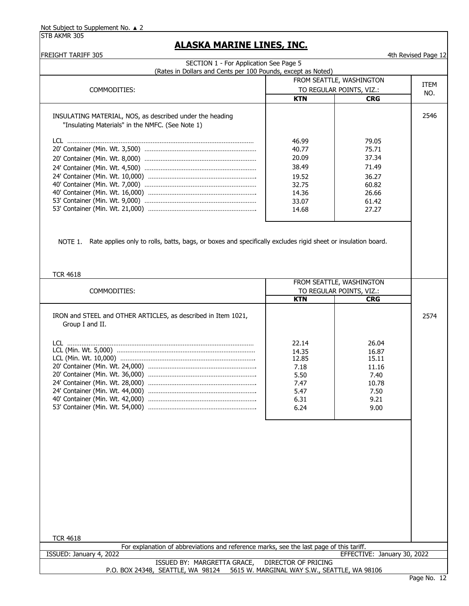| FREIGHT TARIFF 305                                                                                                   |                          |                             | 4th Revised Page 12 |
|----------------------------------------------------------------------------------------------------------------------|--------------------------|-----------------------------|---------------------|
| SECTION 1 - For Application See Page 5                                                                               |                          |                             |                     |
| (Rates in Dollars and Cents per 100 Pounds, except as Noted)                                                         |                          |                             |                     |
|                                                                                                                      | FROM SEATTLE, WASHINGTON | ITEM                        |                     |
| COMMODITIES:                                                                                                         |                          | TO REGULAR POINTS, VIZ.:    | NO.                 |
|                                                                                                                      | <b>KTN</b>               | <b>CRG</b>                  |                     |
|                                                                                                                      |                          |                             |                     |
| INSULATING MATERIAL, NOS, as described under the heading                                                             |                          |                             | 2546                |
| "Insulating Materials" in the NMFC. (See Note 1)                                                                     |                          |                             |                     |
|                                                                                                                      |                          |                             |                     |
|                                                                                                                      | 46.99<br>40.77           | 79.05<br>75.71              |                     |
|                                                                                                                      | 20.09                    | 37.34                       |                     |
|                                                                                                                      |                          |                             |                     |
|                                                                                                                      | 38.49                    | 71.49                       |                     |
|                                                                                                                      | 19.52                    | 36.27                       |                     |
|                                                                                                                      | 32.75                    | 60.82                       |                     |
|                                                                                                                      | 14.36                    | 26.66                       |                     |
|                                                                                                                      | 33.07                    | 61.42                       |                     |
|                                                                                                                      | 14.68                    | 27.27                       |                     |
|                                                                                                                      |                          |                             |                     |
|                                                                                                                      |                          |                             |                     |
|                                                                                                                      |                          |                             |                     |
| NOTE 1. Rate applies only to rolls, batts, bags, or boxes and specifically excludes rigid sheet or insulation board. |                          |                             |                     |
|                                                                                                                      |                          |                             |                     |
|                                                                                                                      |                          |                             |                     |
| <b>TCR 4618</b>                                                                                                      |                          |                             |                     |
|                                                                                                                      |                          | FROM SEATTLE, WASHINGTON    |                     |
| COMMODITIES:                                                                                                         |                          | TO REGULAR POINTS, VIZ.:    |                     |
|                                                                                                                      | <b>KTN</b>               | <b>CRG</b>                  |                     |
|                                                                                                                      |                          |                             |                     |
| IRON and STEEL and OTHER ARTICLES, as described in Item 1021,                                                        |                          |                             | 2574                |
| Group I and II.                                                                                                      |                          |                             |                     |
|                                                                                                                      |                          |                             |                     |
|                                                                                                                      |                          |                             |                     |
|                                                                                                                      | 22.14                    | 26.04                       |                     |
|                                                                                                                      | 14.35                    | 16.87                       |                     |
|                                                                                                                      | 12.85                    | 15.11                       |                     |
|                                                                                                                      | 7.18                     | 11.16                       |                     |
|                                                                                                                      | 5.50                     | 7.40                        |                     |
|                                                                                                                      | 7.47                     | 10.78                       |                     |
|                                                                                                                      | 5.47                     | 7.50                        |                     |
|                                                                                                                      | 6.31                     | 9.21                        |                     |
|                                                                                                                      | 6.24                     | 9.00                        |                     |
|                                                                                                                      |                          |                             |                     |
|                                                                                                                      |                          |                             |                     |
|                                                                                                                      |                          |                             |                     |
|                                                                                                                      |                          |                             |                     |
|                                                                                                                      |                          |                             |                     |
|                                                                                                                      |                          |                             |                     |
|                                                                                                                      |                          |                             |                     |
|                                                                                                                      |                          |                             |                     |
|                                                                                                                      |                          |                             |                     |
|                                                                                                                      |                          |                             |                     |
|                                                                                                                      |                          |                             |                     |
|                                                                                                                      |                          |                             |                     |
|                                                                                                                      |                          |                             |                     |
|                                                                                                                      |                          |                             |                     |
|                                                                                                                      |                          |                             |                     |
| <b>TCR 4618</b>                                                                                                      |                          |                             |                     |
| For explanation of abbreviations and reference marks, see the last page of this tariff.                              |                          |                             |                     |
| ISSUED: January 4, 2022<br>ISSUED BY: MARGRETTA GRACE,                                                               | DIRECTOR OF PRICING      | EFFECTIVE: January 30, 2022 |                     |
| P.O. BOX 24348, SEATTLE, WA 98124 5615 W. MARGINAL WAY S.W., SEATTLE, WA 98106                                       |                          |                             |                     |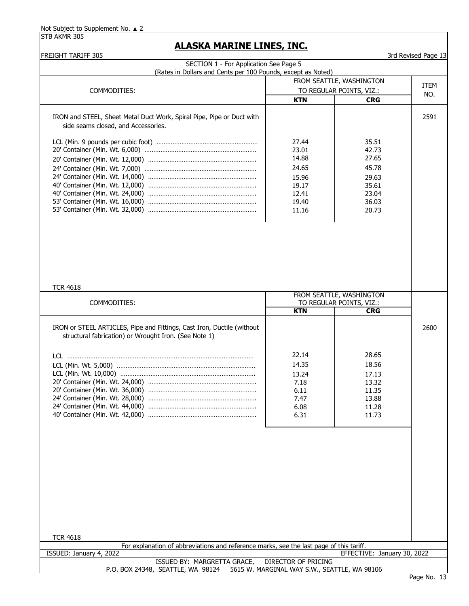| <b>FREIGHT TARIFF 305</b>                                                               |                     |                             | 3rd Revised Page 13 |
|-----------------------------------------------------------------------------------------|---------------------|-----------------------------|---------------------|
| SECTION 1 - For Application See Page 5                                                  |                     |                             |                     |
| (Rates in Dollars and Cents per 100 Pounds, except as Noted)                            |                     |                             |                     |
|                                                                                         |                     | FROM SEATTLE, WASHINGTON    | <b>ITEM</b>         |
| COMMODITIES:                                                                            |                     | TO REGULAR POINTS, VIZ.:    | NO.                 |
|                                                                                         | <b>KTN</b>          | <b>CRG</b>                  |                     |
| IRON and STEEL, Sheet Metal Duct Work, Spiral Pipe, Pipe or Duct with                   |                     |                             | 2591                |
| side seams closed, and Accessories.                                                     |                     |                             |                     |
|                                                                                         |                     |                             |                     |
|                                                                                         | 27.44               | 35.51                       |                     |
|                                                                                         | 23.01               | 42.73                       |                     |
|                                                                                         | 14.88               | 27.65                       |                     |
|                                                                                         | 24.65               | 45.78                       |                     |
|                                                                                         | 15.96               | 29.63                       |                     |
|                                                                                         | 19.17               | 35.61                       |                     |
|                                                                                         | 12.41               | 23.04                       |                     |
|                                                                                         | 19.40               | 36.03                       |                     |
|                                                                                         | 11.16               | 20.73                       |                     |
|                                                                                         |                     |                             |                     |
|                                                                                         |                     |                             |                     |
|                                                                                         |                     |                             |                     |
|                                                                                         |                     |                             |                     |
|                                                                                         |                     |                             |                     |
|                                                                                         |                     |                             |                     |
|                                                                                         |                     |                             |                     |
|                                                                                         |                     |                             |                     |
| <b>TCR 4618</b>                                                                         |                     |                             |                     |
|                                                                                         |                     | FROM SEATTLE, WASHINGTON    |                     |
| COMMODITIES:                                                                            |                     | TO REGULAR POINTS, VIZ.:    |                     |
|                                                                                         | <b>KTN</b>          | <b>CRG</b>                  |                     |
|                                                                                         |                     |                             |                     |
| IRON or STEEL ARTICLES, Pipe and Fittings, Cast Iron, Ductile (without                  |                     |                             | 2600                |
| structural fabrication) or Wrought Iron. (See Note 1)                                   |                     |                             |                     |
|                                                                                         |                     |                             |                     |
|                                                                                         | 22.14               | 28.65                       |                     |
|                                                                                         | 14.35               | 18.56                       |                     |
|                                                                                         | 13.24               | 17.13                       |                     |
|                                                                                         | 7.18                | 13.32                       |                     |
|                                                                                         | 6.11                | 11.35                       |                     |
|                                                                                         | 7.47                | 13.88                       |                     |
|                                                                                         | 6.08                | 11.28                       |                     |
|                                                                                         | 6.31                | 11.73                       |                     |
|                                                                                         |                     |                             |                     |
|                                                                                         |                     |                             |                     |
|                                                                                         |                     |                             |                     |
|                                                                                         |                     |                             |                     |
|                                                                                         |                     |                             |                     |
|                                                                                         |                     |                             |                     |
|                                                                                         |                     |                             |                     |
|                                                                                         |                     |                             |                     |
|                                                                                         |                     |                             |                     |
|                                                                                         |                     |                             |                     |
|                                                                                         |                     |                             |                     |
|                                                                                         |                     |                             |                     |
|                                                                                         |                     |                             |                     |
|                                                                                         |                     |                             |                     |
| <b>TCR 4618</b>                                                                         |                     |                             |                     |
| For explanation of abbreviations and reference marks, see the last page of this tariff. |                     |                             |                     |
| ISSUED: January 4, 2022                                                                 |                     | EFFECTIVE: January 30, 2022 |                     |
| ISSUED BY: MARGRETTA GRACE,                                                             | DIRECTOR OF PRICING |                             |                     |
| P.O. BOX 24348, SEATTLE, WA 98124 5615 W. MARGINAL WAY S.W., SEATTLE, WA 98106          |                     |                             |                     |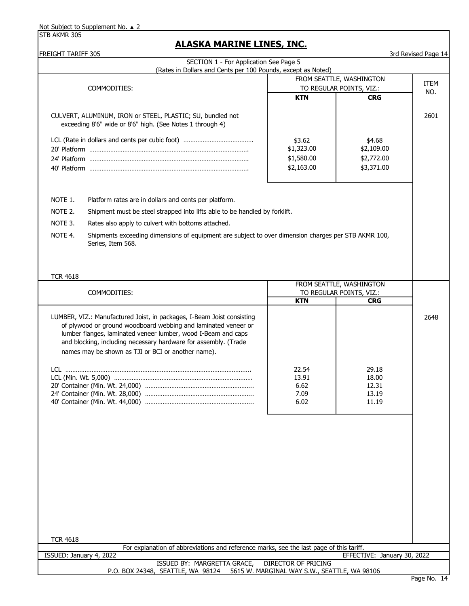STB AKMR 305

| <b>FREIGHT TARIFF 305</b>                |                                                                                                                                                                                                                                                                                                                                    |                                                  |                                                      | 3rd Revised Page 14 |
|------------------------------------------|------------------------------------------------------------------------------------------------------------------------------------------------------------------------------------------------------------------------------------------------------------------------------------------------------------------------------------|--------------------------------------------------|------------------------------------------------------|---------------------|
|                                          | SECTION 1 - For Application See Page 5<br>(Rates in Dollars and Cents per 100 Pounds, except as Noted)                                                                                                                                                                                                                             |                                                  |                                                      |                     |
|                                          |                                                                                                                                                                                                                                                                                                                                    |                                                  | FROM SEATTLE, WASHINGTON                             |                     |
|                                          | COMMODITIES:                                                                                                                                                                                                                                                                                                                       |                                                  | TO REGULAR POINTS, VIZ.:                             | ITEM                |
|                                          |                                                                                                                                                                                                                                                                                                                                    | <b>KTN</b>                                       | <b>CRG</b>                                           | NO.                 |
|                                          | CULVERT, ALUMINUM, IRON or STEEL, PLASTIC; SU, bundled not<br>exceeding 8'6" wide or 8'6" high. (See Notes 1 through 4)                                                                                                                                                                                                            | \$3.62<br>\$1,323.00<br>\$1,580.00<br>\$2,163.00 | \$4.68<br>\$2,109.00<br>\$2,772.00<br>\$3,371.00     | 2601                |
| NOTE 1.<br>NOTE 2.<br>NOTE 3.<br>NOTE 4. | Platform rates are in dollars and cents per platform.<br>Shipment must be steel strapped into lifts able to be handled by forklift.<br>Rates also apply to culvert with bottoms attached.<br>Shipments exceeding dimensions of equipment are subject to over dimension charges per STB AKMR 100,<br>Series, Item 568.              |                                                  |                                                      |                     |
| <b>TCR 4618</b>                          |                                                                                                                                                                                                                                                                                                                                    |                                                  |                                                      |                     |
|                                          | COMMODITIES:                                                                                                                                                                                                                                                                                                                       |                                                  | FROM SEATTLE, WASHINGTON<br>TO REGULAR POINTS, VIZ.: |                     |
|                                          |                                                                                                                                                                                                                                                                                                                                    | <b>KTN</b>                                       | <b>CRG</b>                                           |                     |
|                                          | LUMBER, VIZ.: Manufactured Joist, in packages, I-Beam Joist consisting<br>of plywood or ground woodboard webbing and laminated veneer or<br>lumber flanges, laminated veneer lumber, wood I-Beam and caps<br>and blocking, including necessary hardware for assembly. (Trade<br>names may be shown as TJI or BCI or another name). | 22.54<br>13.91<br>6.62<br>7.09<br>6.02           | 29.18<br>18.00<br>12.31<br>13.19<br>11.19            | 2648                |
| <b>TCR 4618</b>                          | For explanation of abbreviations and reference marks, see the last page of this tariff.                                                                                                                                                                                                                                            |                                                  |                                                      |                     |
| ISSUED: January 4, 2022                  |                                                                                                                                                                                                                                                                                                                                    |                                                  | EFFECTIVE: January 30, 2022                          |                     |
|                                          | ISSUED BY: MARGRETTA GRACE,                                                                                                                                                                                                                                                                                                        | <b>DIRECTOR OF PRICING</b>                       |                                                      |                     |
|                                          | P.O. BOX 24348, SEATTLE, WA 98124                                                                                                                                                                                                                                                                                                  | 5615 W. MARGINAL WAY S.W., SEATTLE, WA 98106     |                                                      |                     |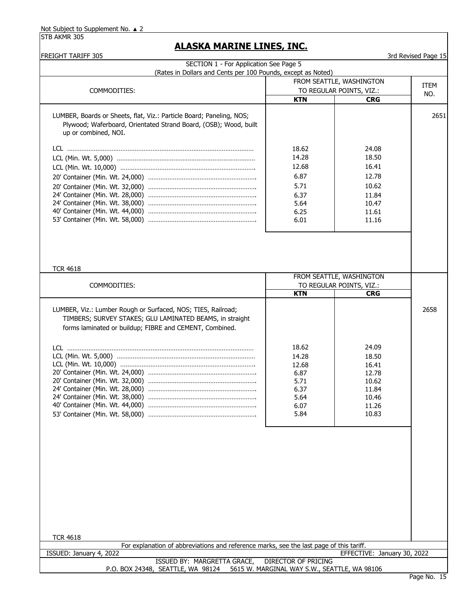| <b>FREIGHT TARIFF 305</b>                                                                                                                                                           |                     |                                        | 3rd Revised Page 15 |
|-------------------------------------------------------------------------------------------------------------------------------------------------------------------------------------|---------------------|----------------------------------------|---------------------|
| SECTION 1 - For Application See Page 5                                                                                                                                              |                     |                                        |                     |
| (Rates in Dollars and Cents per 100 Pounds, except as Noted)                                                                                                                        |                     |                                        |                     |
|                                                                                                                                                                                     |                     | FROM SEATTLE, WASHINGTON               | ITEM                |
| COMMODITIES:                                                                                                                                                                        | <b>KTN</b>          | TO REGULAR POINTS, VIZ.:<br><b>CRG</b> | NO.                 |
|                                                                                                                                                                                     |                     |                                        |                     |
| LUMBER, Boards or Sheets, flat, Viz.: Particle Board; Paneling, NOS;<br>Plywood; Waferboard, Orientated Strand Board, (OSB); Wood, built                                            |                     |                                        | 2651                |
| up or combined, NOI.                                                                                                                                                                |                     |                                        |                     |
|                                                                                                                                                                                     | 18.62               | 24.08                                  |                     |
|                                                                                                                                                                                     | 14.28               | 18.50                                  |                     |
|                                                                                                                                                                                     | 12.68               | 16.41                                  |                     |
|                                                                                                                                                                                     | 6.87                | 12.78                                  |                     |
|                                                                                                                                                                                     | 5.71                | 10.62                                  |                     |
|                                                                                                                                                                                     | 6.37<br>5.64        | 11.84<br>10.47                         |                     |
|                                                                                                                                                                                     | 6.25                | 11.61                                  |                     |
|                                                                                                                                                                                     | 6.01                | 11.16                                  |                     |
|                                                                                                                                                                                     |                     |                                        |                     |
| <b>TCR 4618</b>                                                                                                                                                                     |                     | FROM SEATTLE, WASHINGTON               |                     |
| COMMODITIES:                                                                                                                                                                        |                     | TO REGULAR POINTS, VIZ.:               |                     |
|                                                                                                                                                                                     | <b>KTN</b>          | <b>CRG</b>                             |                     |
| LUMBER, Viz.: Lumber Rough or Surfaced, NOS; TIES, Railroad;<br>TIMBERS; SURVEY STAKES; GLU LAMINATED BEAMS, in straight<br>forms laminated or buildup; FIBRE and CEMENT, Combined. |                     |                                        | 2658                |
|                                                                                                                                                                                     | 18.62               | 24.09                                  |                     |
|                                                                                                                                                                                     | 14.28               | 18.50                                  |                     |
|                                                                                                                                                                                     | 12.68               | 16.41                                  |                     |
|                                                                                                                                                                                     | 6.87                | 12.78                                  |                     |
|                                                                                                                                                                                     | 5.71<br>6.37        | 10.62<br>11.84                         |                     |
|                                                                                                                                                                                     | 5.64                | 10.46                                  |                     |
|                                                                                                                                                                                     | 6.07                | 11.26                                  |                     |
|                                                                                                                                                                                     | 5.84                | 10.83                                  |                     |
|                                                                                                                                                                                     |                     |                                        |                     |
|                                                                                                                                                                                     |                     |                                        |                     |
|                                                                                                                                                                                     |                     |                                        |                     |
| <b>TCR 4618</b>                                                                                                                                                                     |                     |                                        |                     |
| For explanation of abbreviations and reference marks, see the last page of this tariff.                                                                                             |                     |                                        |                     |
| ISSUED: January 4, 2022                                                                                                                                                             |                     | EFFECTIVE: January 30, 2022            |                     |
| ISSUED BY: MARGRETTA GRACE,<br>P.O. BOX 24348, SEATTLE, WA 98124 5615 W. MARGINAL WAY S.W., SEATTLE, WA 98106                                                                       | DIRECTOR OF PRICING |                                        |                     |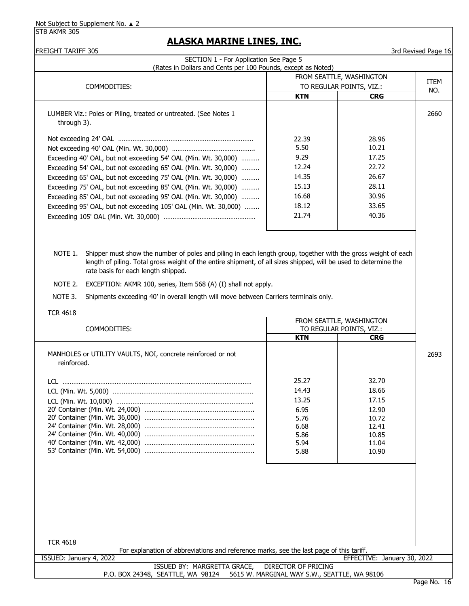STB AKMR 305

| <b>FREIGHT TARIFF 305</b>                                                                                                |                            |                                                      | 3rd Revised Page 16 |  |
|--------------------------------------------------------------------------------------------------------------------------|----------------------------|------------------------------------------------------|---------------------|--|
| SECTION 1 - For Application See Page 5                                                                                   |                            |                                                      |                     |  |
| (Rates in Dollars and Cents per 100 Pounds, except as Noted)                                                             |                            |                                                      |                     |  |
|                                                                                                                          |                            | FROM SEATTLE, WASHINGTON<br>TO REGULAR POINTS, VIZ.: |                     |  |
| COMMODITIES:                                                                                                             |                            |                                                      | NO.                 |  |
|                                                                                                                          | <b>KTN</b>                 | <b>CRG</b>                                           |                     |  |
| LUMBER Viz.: Poles or Piling, treated or untreated. (See Notes 1<br>through 3).                                          |                            |                                                      | 2660                |  |
|                                                                                                                          |                            |                                                      |                     |  |
|                                                                                                                          | 22.39<br>5.50              | 28.96<br>10.21                                       |                     |  |
|                                                                                                                          | 9.29                       | 17.25                                                |                     |  |
| Exceeding 40' OAL, but not exceeding 54' OAL (Min. Wt. 30,000)                                                           | 12.24                      | 22.72                                                |                     |  |
| Exceeding 54' OAL, but not exceeding 65' OAL (Min. Wt. 30,000)                                                           | 14.35                      | 26.67                                                |                     |  |
| Exceeding 65' OAL, but not exceeding 75' OAL (Min. Wt. 30,000)                                                           | 15.13                      | 28.11                                                |                     |  |
| Exceeding 75' OAL, but not exceeding 85' OAL (Min. Wt. 30,000)                                                           | 16.68                      | 30.96                                                |                     |  |
| Exceeding 85' OAL, but not exceeding 95' OAL (Min. Wt. 30,000)                                                           | 18.12                      | 33.65                                                |                     |  |
| Exceeding 95' OAL, but not exceeding 105' OAL (Min. Wt. 30,000)                                                          | 21.74                      | 40.36                                                |                     |  |
|                                                                                                                          |                            |                                                      |                     |  |
|                                                                                                                          |                            |                                                      |                     |  |
|                                                                                                                          |                            |                                                      |                     |  |
| Shipper must show the number of poles and piling in each length group, together with the gross weight of each<br>NOTE 1. |                            |                                                      |                     |  |
| length of piling. Total gross weight of the entire shipment, of all sizes shipped, will be used to determine the         |                            |                                                      |                     |  |
| rate basis for each length shipped.                                                                                      |                            |                                                      |                     |  |
|                                                                                                                          |                            |                                                      |                     |  |
| NOTE 2.<br>EXCEPTION: AKMR 100, series, Item 568 (A) (I) shall not apply.                                                |                            |                                                      |                     |  |
| NOTE 3.<br>Shipments exceeding 40' in overall length will move between Carriers terminals only.                          |                            |                                                      |                     |  |
|                                                                                                                          |                            |                                                      |                     |  |
| <b>TCR 4618</b>                                                                                                          |                            | FROM SEATTLE, WASHINGTON                             |                     |  |
| COMMODITIES:                                                                                                             |                            | TO REGULAR POINTS, VIZ.:                             |                     |  |
|                                                                                                                          | <b>KTN</b>                 | <b>CRG</b>                                           |                     |  |
|                                                                                                                          |                            |                                                      |                     |  |
| MANHOLES or UTILITY VAULTS, NOI, concrete reinforced or not                                                              |                            |                                                      | 2693                |  |
| reinforced.                                                                                                              |                            |                                                      |                     |  |
|                                                                                                                          | 25.27                      | 32.70                                                |                     |  |
|                                                                                                                          |                            |                                                      |                     |  |
|                                                                                                                          | 14.43                      | 18.66                                                |                     |  |
|                                                                                                                          | 13.25                      | 17.15                                                |                     |  |
|                                                                                                                          | 6.95<br>5.76               | 12.90<br>10.72                                       |                     |  |
|                                                                                                                          | 6.68                       | 12.41                                                |                     |  |
|                                                                                                                          | 5.86                       | 10.85                                                |                     |  |
|                                                                                                                          | 5.94                       | 11.04                                                |                     |  |
|                                                                                                                          | 5.88                       | 10.90                                                |                     |  |
|                                                                                                                          |                            |                                                      |                     |  |
|                                                                                                                          |                            |                                                      |                     |  |
|                                                                                                                          |                            |                                                      |                     |  |
|                                                                                                                          |                            |                                                      |                     |  |
|                                                                                                                          |                            |                                                      |                     |  |
|                                                                                                                          |                            |                                                      |                     |  |
|                                                                                                                          |                            |                                                      |                     |  |
|                                                                                                                          |                            |                                                      |                     |  |
| <b>TCR 4618</b>                                                                                                          |                            |                                                      |                     |  |
| For explanation of abbreviations and reference marks, see the last page of this tariff.                                  |                            |                                                      |                     |  |
| ISSUED: January 4, 2022                                                                                                  |                            | EFFECTIVE: January 30, 2022                          |                     |  |
| ISSUED BY: MARGRETTA GRACE,                                                                                              | <b>DIRECTOR OF PRICING</b> |                                                      |                     |  |
| P.O. BOX 24348, SEATTLE, WA 98124 5615 W. MARGINAL WAY S.W., SEATTLE, WA 98106                                           |                            |                                                      |                     |  |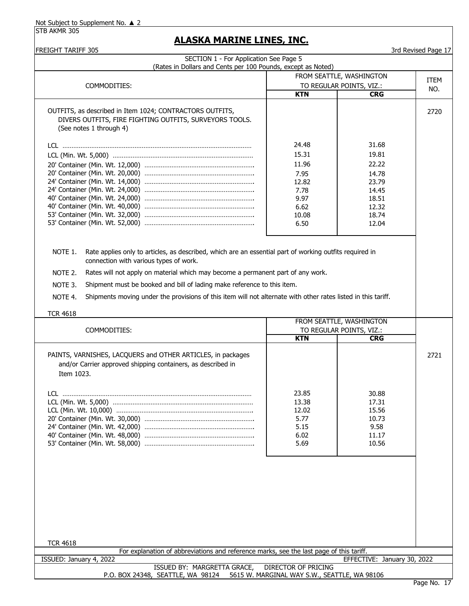STB AKMR 305

| <b>ITEM</b>                 |
|-----------------------------|
|                             |
|                             |
|                             |
| NO.                         |
| 2720                        |
|                             |
|                             |
|                             |
| 2721                        |
|                             |
|                             |
|                             |
| EFFECTIVE: January 30, 2022 |
|                             |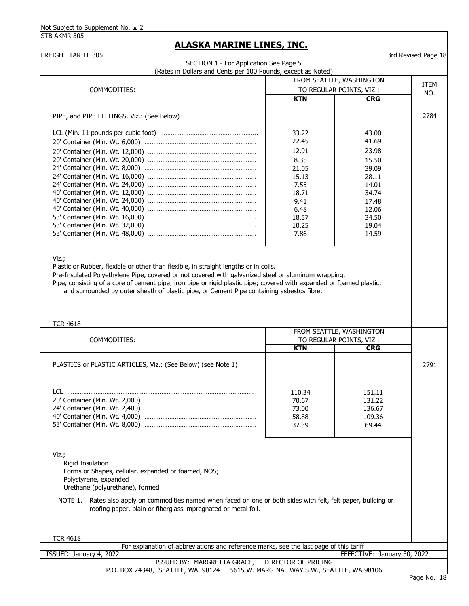| <b>FREIGHT TARIFF 305</b>                                                                                                                                                                   |                                              |                                        | 3rd Revised Page 18 |
|---------------------------------------------------------------------------------------------------------------------------------------------------------------------------------------------|----------------------------------------------|----------------------------------------|---------------------|
| SECTION 1 - For Application See Page 5                                                                                                                                                      |                                              |                                        |                     |
| (Rates in Dollars and Cents per 100 Pounds, except as Noted)                                                                                                                                |                                              |                                        |                     |
|                                                                                                                                                                                             |                                              | FROM SEATTLE, WASHINGTON               | <b>ITEM</b>         |
| COMMODITIES:                                                                                                                                                                                |                                              | TO REGULAR POINTS, VIZ.:               | NO.                 |
|                                                                                                                                                                                             | <b>KTN</b>                                   | <b>CRG</b>                             |                     |
| PIPE, and PIPE FITTINGS, Viz.: (See Below)                                                                                                                                                  |                                              |                                        | 2784                |
|                                                                                                                                                                                             | 33.22                                        | 43.00                                  |                     |
|                                                                                                                                                                                             | 22.45                                        | 41.69                                  |                     |
|                                                                                                                                                                                             | 12.91                                        | 23.98                                  |                     |
|                                                                                                                                                                                             | 8.35                                         | 15.50                                  |                     |
|                                                                                                                                                                                             | 21.05                                        | 39.09                                  |                     |
|                                                                                                                                                                                             | 15.13                                        | 28.11                                  |                     |
|                                                                                                                                                                                             | 7.55                                         | 14.01                                  |                     |
|                                                                                                                                                                                             | 18.71                                        | 34.74                                  |                     |
|                                                                                                                                                                                             | 9.41                                         | 17.48                                  |                     |
|                                                                                                                                                                                             | 6.48                                         | 12.06                                  |                     |
|                                                                                                                                                                                             | 18.57                                        | 34.50                                  |                     |
|                                                                                                                                                                                             | 10.25<br>7.86                                | 19.04                                  |                     |
|                                                                                                                                                                                             |                                              | 14.59                                  |                     |
|                                                                                                                                                                                             |                                              |                                        |                     |
| Viz.;                                                                                                                                                                                       |                                              |                                        |                     |
| Plastic or Rubber, flexible or other than flexible, in straight lengths or in coils.<br>Pre-Insulated Polyethylene Pipe, covered or not covered with galvanized steel or aluminum wrapping. |                                              |                                        |                     |
| Pipe, consisting of a core of cement pipe; iron pipe or rigid plastic pipe; covered with expanded or foamed plastic;                                                                        |                                              |                                        |                     |
| and surrounded by outer sheath of plastic pipe, or Cement Pipe containing asbestos fibre.                                                                                                   |                                              |                                        |                     |
|                                                                                                                                                                                             |                                              |                                        |                     |
|                                                                                                                                                                                             |                                              |                                        |                     |
|                                                                                                                                                                                             |                                              |                                        |                     |
| <b>TCR 4618</b>                                                                                                                                                                             |                                              |                                        |                     |
|                                                                                                                                                                                             |                                              | FROM SEATTLE, WASHINGTON               |                     |
| COMMODITIES:                                                                                                                                                                                | <b>KTN</b>                                   | TO REGULAR POINTS, VIZ.:<br><b>CRG</b> |                     |
|                                                                                                                                                                                             |                                              |                                        |                     |
| PLASTICS or PLASTIC ARTICLES, Viz.: (See Below) (see Note 1)                                                                                                                                |                                              |                                        | 2791                |
|                                                                                                                                                                                             |                                              |                                        |                     |
|                                                                                                                                                                                             |                                              |                                        |                     |
| LCL.                                                                                                                                                                                        | 110.34                                       | 151.11                                 |                     |
|                                                                                                                                                                                             | 70.67                                        | 131.22                                 |                     |
|                                                                                                                                                                                             | 73.00                                        | 136.67                                 |                     |
|                                                                                                                                                                                             | 58.88                                        | 109.36                                 |                     |
|                                                                                                                                                                                             | 37.39                                        | 69.44                                  |                     |
|                                                                                                                                                                                             |                                              |                                        |                     |
|                                                                                                                                                                                             |                                              |                                        |                     |
|                                                                                                                                                                                             |                                              |                                        |                     |
| Viz.;                                                                                                                                                                                       |                                              |                                        |                     |
| <b>Rigid Insulation</b>                                                                                                                                                                     |                                              |                                        |                     |
| Forms or Shapes, cellular, expanded or foamed, NOS;                                                                                                                                         |                                              |                                        |                     |
| Polystyrene, expanded                                                                                                                                                                       |                                              |                                        |                     |
| Urethane (polyurethane), formed                                                                                                                                                             |                                              |                                        |                     |
| Rates also apply on commodities named when faced on one or both sides with felt, felt paper, building or<br>NOTE 1.                                                                         |                                              |                                        |                     |
| roofing paper, plain or fiberglass impregnated or metal foil.                                                                                                                               |                                              |                                        |                     |
|                                                                                                                                                                                             |                                              |                                        |                     |
|                                                                                                                                                                                             |                                              |                                        |                     |
| <b>TCR 4618</b>                                                                                                                                                                             |                                              |                                        |                     |
| For explanation of abbreviations and reference marks, see the last page of this tariff.                                                                                                     |                                              |                                        |                     |
| ISSUED: January 4, 2022                                                                                                                                                                     |                                              | EFFECTIVE: January 30, 2022            |                     |
| ISSUED BY: MARGRETTA GRACE,                                                                                                                                                                 | <b>DIRECTOR OF PRICING</b>                   |                                        |                     |
| P.O. BOX 24348, SEATTLE, WA 98124                                                                                                                                                           | 5615 W. MARGINAL WAY S.W., SEATTLE, WA 98106 |                                        |                     |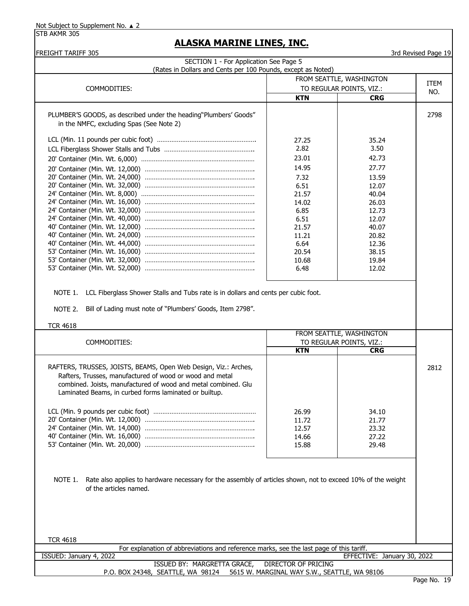|                                                                                                                                                                                       |              | FROM SEATTLE, WASHINGTON                             | <b>ITEM</b> |
|---------------------------------------------------------------------------------------------------------------------------------------------------------------------------------------|--------------|------------------------------------------------------|-------------|
| COMMODITIES:                                                                                                                                                                          |              | TO REGULAR POINTS, VIZ.:                             | NO.         |
|                                                                                                                                                                                       | <b>KTN</b>   | <b>CRG</b>                                           |             |
| PLUMBER'S GOODS, as described under the heading"Plumbers' Goods"                                                                                                                      |              |                                                      | 2798        |
| in the NMFC, excluding Spas (See Note 2)                                                                                                                                              |              |                                                      |             |
|                                                                                                                                                                                       |              |                                                      |             |
|                                                                                                                                                                                       | 27.25        | 35.24                                                |             |
|                                                                                                                                                                                       | 2.82         | 3.50                                                 |             |
|                                                                                                                                                                                       | 23.01        | 42.73                                                |             |
|                                                                                                                                                                                       | 14.95        | 27.77                                                |             |
|                                                                                                                                                                                       | 7.32         | 13.59                                                |             |
|                                                                                                                                                                                       | 6.51         | 12.07                                                |             |
|                                                                                                                                                                                       | 21.57        | 40.04                                                |             |
|                                                                                                                                                                                       | 14.02        | 26.03                                                |             |
|                                                                                                                                                                                       | 6.85<br>6.51 | 12.73<br>12.07                                       |             |
|                                                                                                                                                                                       | 21.57        | 40.07                                                |             |
|                                                                                                                                                                                       | 11.21        | 20.82                                                |             |
|                                                                                                                                                                                       | 6.64         | 12.36                                                |             |
|                                                                                                                                                                                       | 20.54        | 38.15                                                |             |
|                                                                                                                                                                                       | 10.68        | 19.84                                                |             |
|                                                                                                                                                                                       | 6.48         | 12.02                                                |             |
| NOTE 1. LCL Fiberglass Shower Stalls and Tubs rate is in dollars and cents per cubic foot.<br>Bill of Lading must note of "Plumbers' Goods, Item 2798".<br>NOTE 2.<br><b>TCR 4618</b> |              |                                                      |             |
| COMMODITIES:                                                                                                                                                                          |              | FROM SEATTLE, WASHINGTON<br>TO REGULAR POINTS, VIZ.: |             |
|                                                                                                                                                                                       | <b>KTN</b>   | <b>CRG</b>                                           |             |
| RAFTERS, TRUSSES, JOISTS, BEAMS, Open Web Design, Viz.: Arches,                                                                                                                       |              |                                                      |             |
| Rafters, Trusses, manufactured of wood or wood and metal                                                                                                                              |              |                                                      |             |
| combined. Joists, manufactured of wood and metal combined. Glu                                                                                                                        |              |                                                      |             |
| Laminated Beams, in curbed forms laminated or builtup.                                                                                                                                |              |                                                      |             |
|                                                                                                                                                                                       |              |                                                      |             |
|                                                                                                                                                                                       | 26.99        | 34.10                                                |             |
|                                                                                                                                                                                       | 11.72        | 21.77                                                | 2812        |
|                                                                                                                                                                                       | 12.57        | 23.32                                                |             |
|                                                                                                                                                                                       | 14.66        | 27.22                                                |             |
|                                                                                                                                                                                       | 15.88        | 29.48                                                |             |
|                                                                                                                                                                                       |              |                                                      |             |
| NOTE 1.<br>Rate also applies to hardware necessary for the assembly of articles shown, not to exceed 10% of the weight                                                                |              |                                                      |             |
| of the articles named.                                                                                                                                                                |              |                                                      |             |
|                                                                                                                                                                                       |              |                                                      |             |
|                                                                                                                                                                                       |              |                                                      |             |
|                                                                                                                                                                                       |              |                                                      |             |
|                                                                                                                                                                                       |              |                                                      |             |
| <b>TCR 4618</b>                                                                                                                                                                       |              |                                                      |             |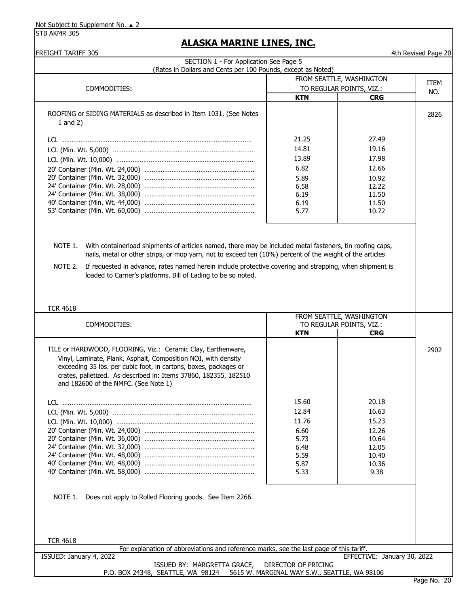STB AKMR 305

| <b>FREIGHT TARIFF 305</b>                                                                                                                                                                                            |                     |                             | 4th Revised Page 20 |
|----------------------------------------------------------------------------------------------------------------------------------------------------------------------------------------------------------------------|---------------------|-----------------------------|---------------------|
| SECTION 1 - For Application See Page 5<br>(Rates in Dollars and Cents per 100 Pounds, except as Noted)                                                                                                               |                     |                             |                     |
|                                                                                                                                                                                                                      |                     | FROM SEATTLE, WASHINGTON    |                     |
| COMMODITIES:                                                                                                                                                                                                         |                     | TO REGULAR POINTS, VIZ.:    | ITEM                |
|                                                                                                                                                                                                                      | <b>KTN</b>          | <b>CRG</b>                  | NO.                 |
|                                                                                                                                                                                                                      |                     |                             |                     |
| ROOFING or SIDING MATERIALS as described in Item 1031. (See Notes                                                                                                                                                    |                     |                             | 2826                |
| $1$ and $2)$                                                                                                                                                                                                         |                     |                             |                     |
|                                                                                                                                                                                                                      |                     |                             |                     |
|                                                                                                                                                                                                                      | 21.25               | 27.49                       |                     |
|                                                                                                                                                                                                                      | 14.81               | 19.16                       |                     |
|                                                                                                                                                                                                                      | 13.89               | 17.98                       |                     |
|                                                                                                                                                                                                                      | 6.82                | 12.66                       |                     |
|                                                                                                                                                                                                                      | 5.89                | 10.92                       |                     |
|                                                                                                                                                                                                                      | 6.58                | 12.22                       |                     |
|                                                                                                                                                                                                                      | 6.19                | 11.50                       |                     |
|                                                                                                                                                                                                                      | 6.19                | 11.50                       |                     |
|                                                                                                                                                                                                                      | 5.77                | 10.72                       |                     |
|                                                                                                                                                                                                                      |                     |                             |                     |
|                                                                                                                                                                                                                      |                     |                             |                     |
| NOTE 1.                                                                                                                                                                                                              |                     |                             |                     |
| With containerload shipments of articles named, there may be included metal fasteners, tin roofing caps,<br>nails, metal or other strips, or mop yarn, not to exceed ten (10%) percent of the weight of the articles |                     |                             |                     |
|                                                                                                                                                                                                                      |                     |                             |                     |
| If requested in advance, rates named herein include protective covering and strapping, when shipment is<br>NOTE 2.                                                                                                   |                     |                             |                     |
| loaded to Carrier's platforms. Bill of Lading to be so noted.                                                                                                                                                        |                     |                             |                     |
|                                                                                                                                                                                                                      |                     |                             |                     |
|                                                                                                                                                                                                                      |                     |                             |                     |
|                                                                                                                                                                                                                      |                     |                             |                     |
| <b>TCR 4618</b>                                                                                                                                                                                                      |                     | FROM SEATTLE, WASHINGTON    |                     |
| COMMODITIES:                                                                                                                                                                                                         |                     | TO REGULAR POINTS, VIZ.:    |                     |
|                                                                                                                                                                                                                      | <b>KTN</b>          | <b>CRG</b>                  |                     |
|                                                                                                                                                                                                                      |                     |                             |                     |
| TILE or HARDWOOD, FLOORING, Viz.: Ceramic Clay, Earthenware,                                                                                                                                                         |                     |                             | 2902                |
| Vinyl, Laminate, Plank, Asphalt, Composition NOI, with density                                                                                                                                                       |                     |                             |                     |
| exceeding 35 lbs. per cubic foot, in cartons, boxes, packages or                                                                                                                                                     |                     |                             |                     |
| crates, palletized. As described in: Items 37860, 182355, 182510                                                                                                                                                     |                     |                             |                     |
| and 182600 of the NMFC. (See Note 1)                                                                                                                                                                                 |                     |                             |                     |
|                                                                                                                                                                                                                      |                     |                             |                     |
|                                                                                                                                                                                                                      | 15.60               | 20.18                       |                     |
|                                                                                                                                                                                                                      | 12.84               | 16.63                       |                     |
|                                                                                                                                                                                                                      | 11.76               | 15.23                       |                     |
|                                                                                                                                                                                                                      | 6.60                | 12.26                       |                     |
|                                                                                                                                                                                                                      | 5.73                | 10.64                       |                     |
|                                                                                                                                                                                                                      | 6.48                | 12.05                       |                     |
|                                                                                                                                                                                                                      | 5.59                | 10.40                       |                     |
|                                                                                                                                                                                                                      | 5.87                | 10.36                       |                     |
|                                                                                                                                                                                                                      | 5.33                | 9.38                        |                     |
|                                                                                                                                                                                                                      |                     |                             |                     |
|                                                                                                                                                                                                                      |                     |                             |                     |
| NOTE 1.<br>Does not apply to Rolled Flooring goods. See Item 2266.                                                                                                                                                   |                     |                             |                     |
|                                                                                                                                                                                                                      |                     |                             |                     |
|                                                                                                                                                                                                                      |                     |                             |                     |
|                                                                                                                                                                                                                      |                     |                             |                     |
| <b>TCR 4618</b>                                                                                                                                                                                                      |                     |                             |                     |
|                                                                                                                                                                                                                      |                     |                             |                     |
|                                                                                                                                                                                                                      |                     |                             |                     |
| For explanation of abbreviations and reference marks, see the last page of this tariff.<br>ISSUED: January 4, 2022                                                                                                   |                     | EFFECTIVE: January 30, 2022 |                     |
| ISSUED BY: MARGRETTA GRACE,<br>P.O. BOX 24348, SEATTLE, WA 98124 5615 W. MARGINAL WAY S.W., SEATTLE, WA 98106                                                                                                        | DIRECTOR OF PRICING |                             |                     |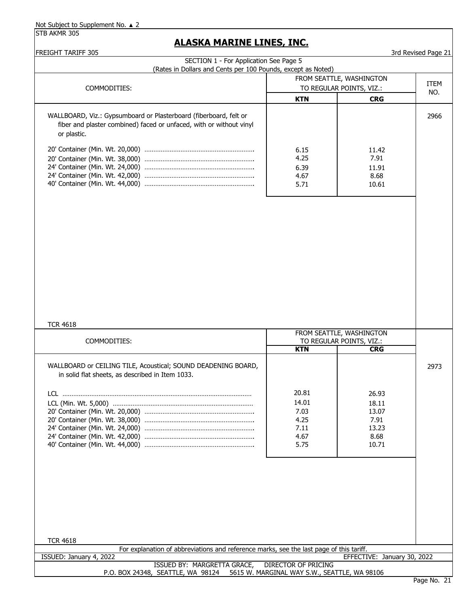STB AKMR 305

## **ALASKA MARINE LINES, INC.**

FREIGHT TARIFF 305 3rd Revised Page 21

| בטר ודעשו ווהדחשו<br>SECTION 1 - For Application See Page 5<br>(Rates in Dollars and Cents per 100 Pounds, except as Noted)              |                                                                                  |                                                           | ord verised Lade TT |  |             |
|------------------------------------------------------------------------------------------------------------------------------------------|----------------------------------------------------------------------------------|-----------------------------------------------------------|---------------------|--|-------------|
| COMMODITIES:                                                                                                                             | FROM SEATTLE, WASHINGTON<br>TO REGULAR POINTS, VIZ.:                             |                                                           |                     |  | ITEM<br>NO. |
| WALLBOARD, Viz.: Gypsumboard or Plasterboard (fiberboard, felt or<br>fiber and plaster combined) faced or unfaced, with or without vinyl | <b>KTN</b>                                                                       | <b>CRG</b>                                                | 2966                |  |             |
| or plastic.                                                                                                                              | 6.15<br>4.25<br>6.39<br>4.67<br>5.71                                             | 11.42<br>7.91<br>11.91<br>8.68<br>10.61                   |                     |  |             |
|                                                                                                                                          |                                                                                  |                                                           |                     |  |             |
|                                                                                                                                          |                                                                                  |                                                           |                     |  |             |
| <b>TCR 4618</b>                                                                                                                          |                                                                                  |                                                           |                     |  |             |
| COMMODITIES:                                                                                                                             | FROM SEATTLE, WASHINGTON<br>TO REGULAR POINTS, VIZ.:<br><b>KTN</b><br><b>CRG</b> |                                                           |                     |  |             |
| WALLBOARD or CEILING TILE, Acoustical; SOUND DEADENING BOARD,<br>in solid flat sheets, as described in Item 1033.                        |                                                                                  |                                                           | 2973                |  |             |
|                                                                                                                                          | 20.81<br>14.01<br>7.03<br>4.25<br>7.11<br>4.67<br>5.75                           | 26.93<br>18.11<br>13.07<br>7.91<br>13.23<br>8.68<br>10.71 |                     |  |             |
|                                                                                                                                          |                                                                                  |                                                           |                     |  |             |
| <b>TCR 4618</b>                                                                                                                          |                                                                                  |                                                           |                     |  |             |